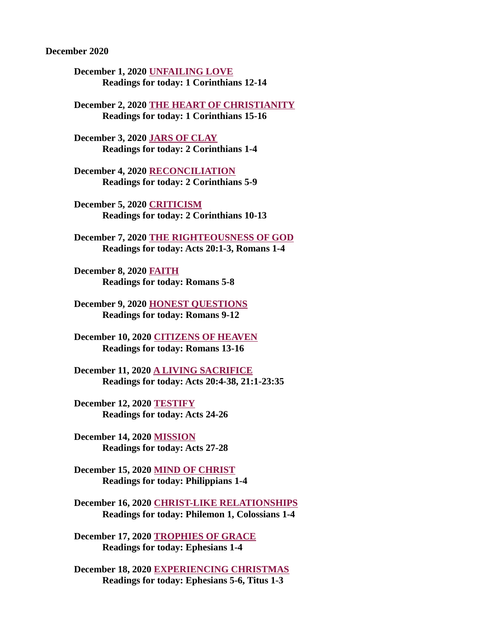December 2020

December 1, 2020 UNFAILING LOVE [Readings for today: 1 Corinthians 12-14](#page-2-0)

[December 2, 2020 THE HEART OF CHRISTIANITY](#page-4-0) Readings for today: 1 Corinthians 15-16

December 3, 2020 JARS OF CLAY [Readings for today: 2 Corinthians 1-4](#page-5-0)

[December 4, 2020 RECONCILIATION](#page-7-0) Readings for today: 2 Corinthians 5-9

December 5, 2020 CRITICISM [Readings for today: 2 Corinthians 10-13](#page-9-0)

[December 7, 2020 THE RIGHTEOUSNESS OF GOD](#page-11-0) Readings for today: Acts 20:1-3, Romans 1-4

December 8, 2020 FAITH [Readings for today: Romans 5-8](#page-12-0)

[December 9, 2020 HONEST QUESTIONS](#page-14-0) Readings for today: Romans 9-12

[December 10, 2020 CITIZENS OF HEAVEN](#page-15-0) Readings for today: Romans 13-16

December 11, 2020 A LIVING SACRIFICE [Readings for today: Acts 20:4-38, 21:1-23:35](#page-18-0)

December 12, 2020 TESTIFY [Readings for today: Acts 24-26](#page-20-0)

December 14, 2020 MISSION [Readings for today: Acts 27-28](#page-22-0)

[December 15, 2020 MIND OF CHRIST](#page-24-0) Readings for today: Philippians 1-4

[December 16, 2020 CHRIST-LIKE RELATIONSHIPS](#page-26-0) Readings for today: Philemon 1, Colossians 1-4

[December 17, 2020 TROPHIES OF GRACE](#page-28-0) Readings for today: Ephesians 1-4

[December 18, 2020 EXPERIENCING CHRISTMAS](#page-29-0) Readings for today: Ephesians 5-6, Titus 1-3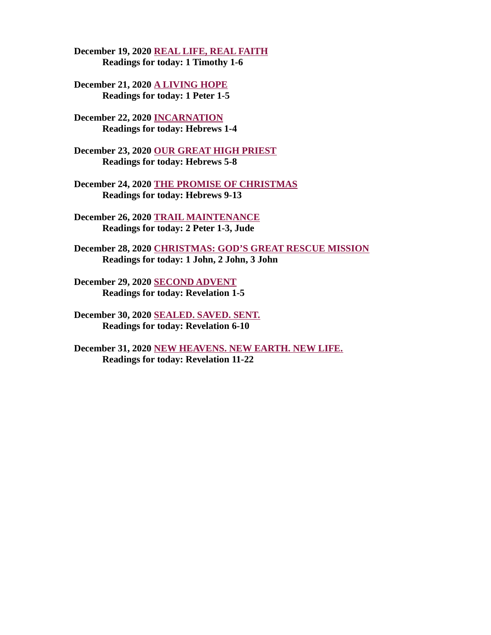[December 19, 2020 REAL LIFE, REAL FAITH](#page-31-0) Readings for today: 1 Timothy 1-6

[December 21, 2020 A LIVING HOPE](#page-33-0) Readings for today: 1 Peter 1-5

[December 22, 2020 INCARNATION](#page-35-0) Readings for today: Hebrews 1-4

[December 23, 2020 OUR GREAT HIGH PRIEST](#page-37-0) Readings for today: Hebrews 5-8

[December 24, 2020 THE PROMISE OF CHRISTMAS](#page-38-0) Readings for today: Hebrews 9-13

[December 26, 2020 TRAIL MAINTENANCE](#page-39-0) Readings for today: 2 Peter 1-3, Jude

[December 28, 2020 CHRISTMAS: GOD'S GREAT RESCUE MISSION](#page-41-0) Readings for today: 1 John, 2 John, 3 John

[December 29, 2020 SECOND ADVENT](#page-42-0) Readings for today: Revelation 1-5

[December 30, 2020 SEALED. SAVED. SENT.](#page-43-0) Readings for today: Revelation 6-10

[December 31, 2020 NEW HEAVENS. NEW EARTH. NEW LIFE.](#page-45-0) Readings for today: Revelation 11-22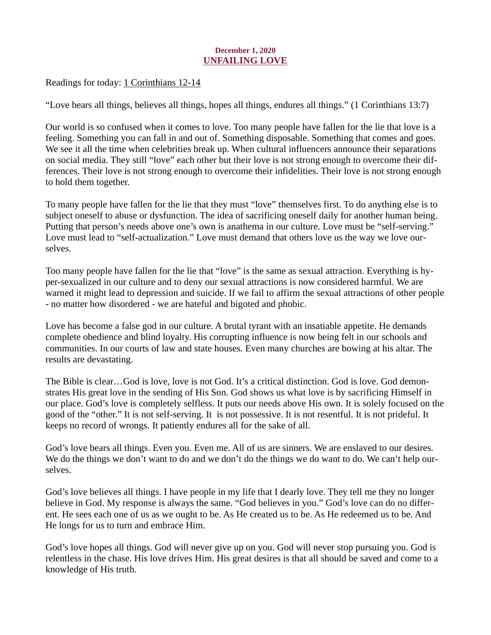# December 1, 2020 UNFAILING LOVE

<span id="page-2-0"></span>[Readings for today: 1 Corinthians 12-14](https://www.biblegateway.com/passage/?search=1+Corinthians+12-14&version=ESV)

"Love bears all things, believes all things, hopes all things, endures all things." (1 Corinthians 13:7)

Our world is so confused when it comes to love. Too many people have fallen for the lie that love is a feeling. Something you can fall in and out of. Something disposable. Something that comes and goes. We see it all the time when celebrities break up. When cultural influencers announce their separations on social media. They still "love" each other but their love is not strong enough to overcome their differences. Their love is not strong enough to overcome their infidelities. Their love is not strong enough to hold them together.

To many people have fallen for the lie that they must "love" themselves first. To do anything else is to subject oneself to abuse or dysfunction. The idea of sacrificing oneself daily for another human being. Putting that person's needs above one's own is anathema in our culture. Love must be "self-serving." Love must lead to "self-actualization." Love must demand that others love us the way we love ourselves.

Too many people have fallen for the lie that "love" is the same as sexual attraction. Everything is hyper-sexualized in our culture and to deny our sexual attractions is now considered harmful. We are warned it might lead to depression and suicide. If we fail to affirm the sexual attractions of other people - no matter how disordered - we are hateful and bigoted and phobic.

Love has become a false god in our culture. A brutal tyrant with an insatiable appetite. He demands complete obedience and blind loyalty. His corrupting influence is now being felt in our schools and communities. In our courts of law and state houses. Even many churches are bowing at his altar. The results are devastating.

The Bible is clear…God is love, love is not God. It's a critical distinction. God is love. God demonstrates His great love in the sending of His Son. God shows us what love is by sacrificing Himself in our place. God's love is completely selfless. It puts our needs above His own. It is solely focused on the good of the "other." It is not self-serving. It is not possessive. It is not resentful. It is not prideful. It keeps no record of wrongs. It patiently endures all for the sake of all.

God's love bears all things. Even you. Even me. All of us are sinners. We are enslaved to our desires. We do the things we don't want to do and we don't do the things we do want to do. We can't help ourselves.

God's love believes all things. I have people in my life that I dearly love. They tell me they no longer believe in God. My response is always the same. "God believes in you." God's love can do no different. He sees each one of us as we ought to be. As He created us to be. As He redeemed us to be. And He longs for us to turn and embrace Him.

God's love hopes all things. God will never give up on you. God will never stop pursuing you. God is relentless in the chase. His love drives Him. His great desires is that all should be saved and come to a knowledge of His truth.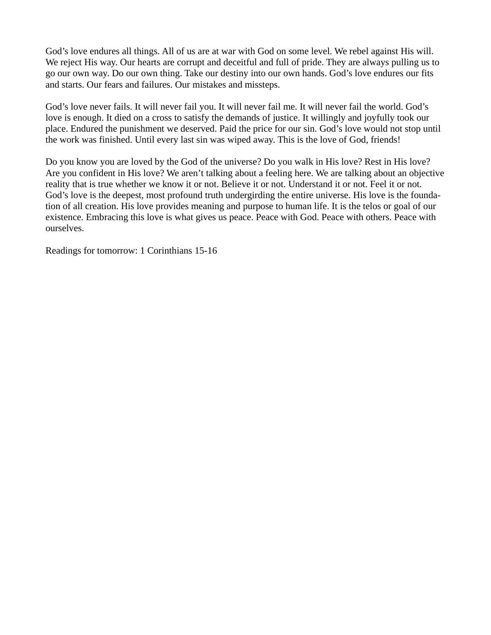God's love endures all things. All of us are at war with God on some level. We rebel against His will. We reject His way. Our hearts are corrupt and deceitful and full of pride. They are always pulling us to go our own way. Do our own thing. Take our destiny into our own hands. God's love endures our fits and starts. Our fears and failures. Our mistakes and missteps.

God's love never fails. It will never fail you. It will never fail me. It will never fail the world. God's love is enough. It died on a cross to satisfy the demands of justice. It willingly and joyfully took our place. Endured the punishment we deserved. Paid the price for our sin. God's love would not stop until the work was finished. Until every last sin was wiped away. This is the love of God, friends!

Do you know you are loved by the God of the universe? Do you walk in His love? Rest in His love? Are you confident in His love? We aren't talking about a feeling here. We are talking about an objective reality that is true whether we know it or not. Believe it or not. Understand it or not. Feel it or not. God's love is the deepest, most profound truth undergirding the entire universe. His love is the foundation of all creation. His love provides meaning and purpose to human life. It is the telos or goal of our existence. Embracing this love is what gives us peace. Peace with God. Peace with others. Peace with ourselves.

Readings for tomorrow: 1 Corinthians 15-16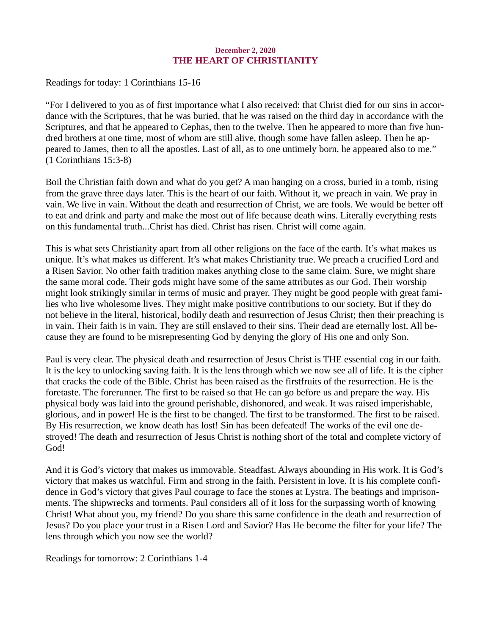## December 2, 2020 THE HEART OF CHRISTIANITY

<span id="page-4-0"></span>[Readings for today: 1 Corinthians 15-16](https://www.biblegateway.com/passage/?search=1+Corinthians+15-16&version=ESV)

"For I delivered to you as of first importance what I also received: that Christ died for our sins in accordance with the Scriptures, that he was buried, that he was raised on the third day in accordance with the Scriptures, and that he appeared to Cephas, then to the twelve. Then he appeared to more than five hundred brothers at one time, most of whom are still alive, though some have fallen asleep. Then he appeared to James, then to all the apostles. Last of all, as to one untimely born, he appeared also to me." (1 Corinthians 15:3-8)

Boil the Christian faith down and what do you get? A man hanging on a cross, buried in a tomb, rising from the grave three days later. This is the heart of our faith. Without it, we preach in vain. We pray in vain. We live in vain. Without the death and resurrection of Christ, we are fools. We would be better off to eat and drink and party and make the most out of life because death wins. Literally everything rests on this fundamental truth...Christ has died. Christ has risen. Christ will come again.

This is what sets Christianity apart from all other religions on the face of the earth. It's what makes us unique. It's what makes us different. It's what makes Christianity true. We preach a crucified Lord and a Risen Savior. No other faith tradition makes anything close to the same claim. Sure, we might share the same moral code. Their gods might have some of the same attributes as our God. Their worship might look strikingly similar in terms of music and prayer. They might be good people with great families who live wholesome lives. They might make positive contributions to our society. But if they do not believe in the literal, historical, bodily death and resurrection of Jesus Christ; then their preaching is in vain. Their faith is in vain. They are still enslaved to their sins. Their dead are eternally lost. All because they are found to be misrepresenting God by denying the glory of His one and only Son.

Paul is very clear. The physical death and resurrection of Jesus Christ is THE essential cog in our faith. It is the key to unlocking saving faith. It is the lens through which we now see all of life. It is the cipher that cracks the code of the Bible. Christ has been raised as the firstfruits of the resurrection. He is the foretaste. The forerunner. The first to be raised so that He can go before us and prepare the way. His physical body was laid into the ground perishable, dishonored, and weak. It was raised imperishable, glorious, and in power! He is the first to be changed. The first to be transformed. The first to be raised. By His resurrection, we know death has lost! Sin has been defeated! The works of the evil one destroyed! The death and resurrection of Jesus Christ is nothing short of the total and complete victory of God!

And it is God's victory that makes us immovable. Steadfast. Always abounding in His work. It is God's victory that makes us watchful. Firm and strong in the faith. Persistent in love. It is his complete confidence in God's victory that gives Paul courage to face the stones at Lystra. The beatings and imprisonments. The shipwrecks and torments. Paul considers all of it loss for the surpassing worth of knowing Christ! What about you, my friend? Do you share this same confidence in the death and resurrection of Jesus? Do you place your trust in a Risen Lord and Savior? Has He become the filter for your life? The lens through which you now see the world?

Readings for tomorrow: 2 Corinthians 1-4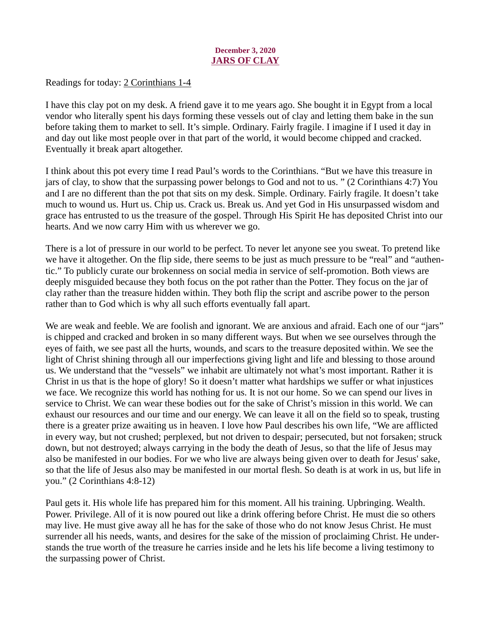# December 3, 2020 JARS OF CLAY

<span id="page-5-0"></span>[Readings for today: 2 Corinthians 1-4](https://www.biblegateway.com/passage/?search=2+Corinthians+1-4&version=ESV)

I have this clay pot on my desk. A friend gave it to me years ago. She bought it in Egypt from a local vendor who literally spent his days forming these vessels out of clay and letting them bake in the sun before taking them to market to sell. It's simple. Ordinary. Fairly fragile. I imagine if I used it day in and day out like most people over in that part of the world, it would become chipped and cracked. Eventually it break apart altogether.

I think about this pot every time I read Paul's words to the Corinthians. "But we have this treasure in jars of clay, to show that the surpassing power belongs to God and not to us. " (2 Corinthians 4:7) You and I are no different than the pot that sits on my desk. Simple. Ordinary. Fairly fragile. It doesn't take much to wound us. Hurt us. Chip us. Crack us. Break us. And yet God in His unsurpassed wisdom and grace has entrusted to us the treasure of the gospel. Through His Spirit He has deposited Christ into our hearts. And we now carry Him with us wherever we go.

There is a lot of pressure in our world to be perfect. To never let anyone see you sweat. To pretend like we have it altogether. On the flip side, there seems to be just as much pressure to be "real" and "authentic." To publicly curate our brokenness on social media in service of self-promotion. Both views are deeply misguided because they both focus on the pot rather than the Potter. They focus on the jar of clay rather than the treasure hidden within. They both flip the script and ascribe power to the person rather than to God which is why all such efforts eventually fall apart.

We are weak and feeble. We are foolish and ignorant. We are anxious and afraid. Each one of our "jars" is chipped and cracked and broken in so many different ways. But when we see ourselves through the eyes of faith, we see past all the hurts, wounds, and scars to the treasure deposited within. We see the light of Christ shining through all our imperfections giving light and life and blessing to those around us. We understand that the "vessels" we inhabit are ultimately not what's most important. Rather it is Christ in us that is the hope of glory! So it doesn't matter what hardships we suffer or what injustices we face. We recognize this world has nothing for us. It is not our home. So we can spend our lives in service to Christ. We can wear these bodies out for the sake of Christ's mission in this world. We can exhaust our resources and our time and our energy. We can leave it all on the field so to speak, trusting there is a greater prize awaiting us in heaven. I love how Paul describes his own life, "We are afflicted in every way, but not crushed; perplexed, but not driven to despair; persecuted, but not forsaken; struck down, but not destroyed; always carrying in the body the death of Jesus, so that the life of Jesus may also be manifested in our bodies. For we who live are always being given over to death for Jesus' sake, so that the life of Jesus also may be manifested in our mortal flesh. So death is at work in us, but life in you." (2 Corinthians 4:8-12)

Paul gets it. His whole life has prepared him for this moment. All his training. Upbringing. Wealth. Power. Privilege. All of it is now poured out like a drink offering before Christ. He must die so others may live. He must give away all he has for the sake of those who do not know Jesus Christ. He must surrender all his needs, wants, and desires for the sake of the mission of proclaiming Christ. He understands the true worth of the treasure he carries inside and he lets his life become a living testimony to the surpassing power of Christ.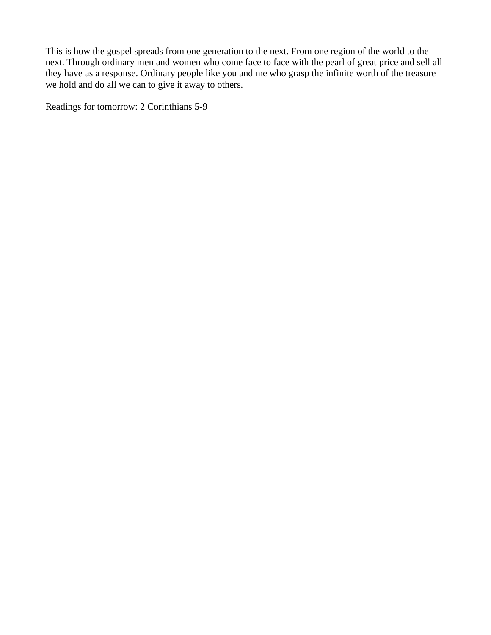This is how the gospel spreads from one generation to the next. From one region of the world to the next. Through ordinary men and women who come face to face with the pearl of great price and sell all they have as a response. Ordinary people like you and me who grasp the infinite worth of the treasure we hold and do all we can to give it away to others.

Readings for tomorrow: 2 Corinthians 5-9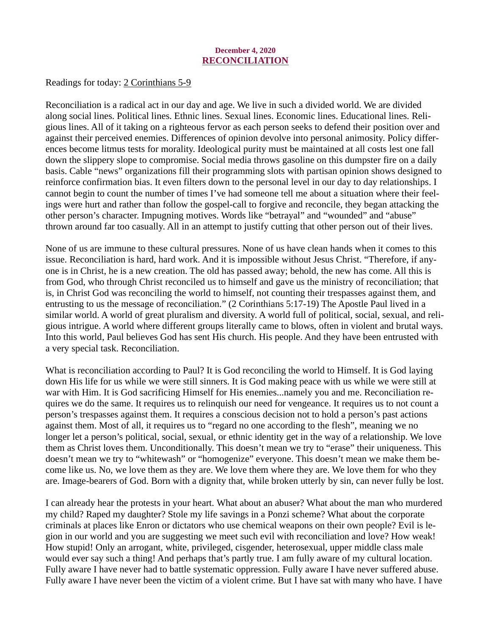#### December 4, 2020 RECONCILIATION

<span id="page-7-0"></span>[Readings for today: 2 Corinthians 5-9](https://www.biblegateway.com/passage/?search=2+Corinthians+5-9&version=ESV)

Reconciliation is a radical act in our day and age. We live in such a divided world. We are divided along social lines. Political lines. Ethnic lines. Sexual lines. Economic lines. Educational lines. Religious lines. All of it taking on a righteous fervor as each person seeks to defend their position over and against their perceived enemies. Differences of opinion devolve into personal animosity. Policy differences become litmus tests for morality. Ideological purity must be maintained at all costs lest one fall down the slippery slope to compromise. Social media throws gasoline on this dumpster fire on a daily basis. Cable "news" organizations fill their programming slots with partisan opinion shows designed to reinforce confirmation bias. It even filters down to the personal level in our day to day relationships. I cannot begin to count the number of times I've had someone tell me about a situation where their feelings were hurt and rather than follow the gospel-call to forgive and reconcile, they began attacking the other person's character. Impugning motives. Words like "betrayal" and "wounded" and "abuse" thrown around far too casually. All in an attempt to justify cutting that other person out of their lives.

None of us are immune to these cultural pressures. None of us have clean hands when it comes to this issue. Reconciliation is hard, hard work. And it is impossible without Jesus Christ. "Therefore, if anyone is in Christ, he is a new creation. The old has passed away; behold, the new has come. All this is from God, who through Christ reconciled us to himself and gave us the ministry of reconciliation; that is, in Christ God was reconciling the world to himself, not counting their trespasses against them, and entrusting to us the message of reconciliation." (2 Corinthians 5:17-19) The Apostle Paul lived in a similar world. A world of great pluralism and diversity. A world full of political, social, sexual, and religious intrigue. A world where different groups literally came to blows, often in violent and brutal ways. Into this world, Paul believes God has sent His church. His people. And they have been entrusted with a very special task. Reconciliation.

What is reconciliation according to Paul? It is God reconciling the world to Himself. It is God laying down His life for us while we were still sinners. It is God making peace with us while we were still at war with Him. It is God sacrificing Himself for His enemies...namely you and me. Reconciliation requires we do the same. It requires us to relinquish our need for vengeance. It requires us to not count a person's trespasses against them. It requires a conscious decision not to hold a person's past actions against them. Most of all, it requires us to "regard no one according to the flesh", meaning we no longer let a person's political, social, sexual, or ethnic identity get in the way of a relationship. We love them as Christ loves them. Unconditionally. This doesn't mean we try to "erase" their uniqueness. This doesn't mean we try to "whitewash" or "homogenize" everyone. This doesn't mean we make them become like us. No, we love them as they are. We love them where they are. We love them for who they are. Image-bearers of God. Born with a dignity that, while broken utterly by sin, can never fully be lost.

I can already hear the protests in your heart. What about an abuser? What about the man who murdered my child? Raped my daughter? Stole my life savings in a Ponzi scheme? What about the corporate criminals at places like Enron or dictators who use chemical weapons on their own people? Evil is legion in our world and you are suggesting we meet such evil with reconciliation and love? How weak! How stupid! Only an arrogant, white, privileged, cisgender, heterosexual, upper middle class male would ever say such a thing! And perhaps that's partly true. I am fully aware of my cultural location. Fully aware I have never had to battle systematic oppression. Fully aware I have never suffered abuse. Fully aware I have never been the victim of a violent crime. But I have sat with many who have. I have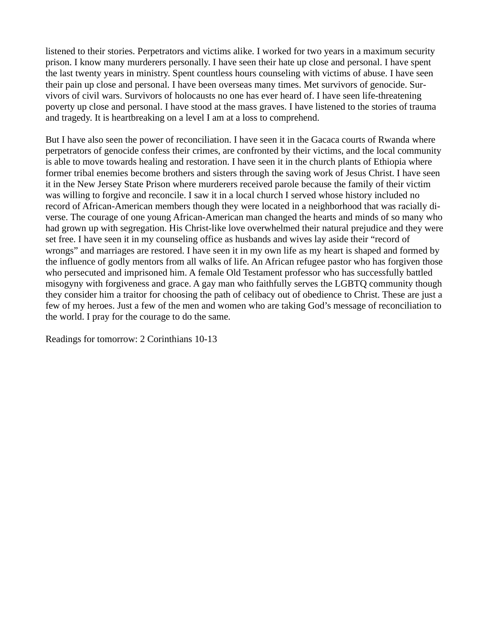listened to their stories. Perpetrators and victims alike. I worked for two years in a maximum security prison. I know many murderers personally. I have seen their hate up close and personal. I have spent the last twenty years in ministry. Spent countless hours counseling with victims of abuse. I have seen their pain up close and personal. I have been overseas many times. Met survivors of genocide. Survivors of civil wars. Survivors of holocausts no one has ever heard of. I have seen life-threatening poverty up close and personal. I have stood at the mass graves. I have listened to the stories of trauma and tragedy. It is heartbreaking on a level I am at a loss to comprehend.

But I have also seen the power of reconciliation. I have seen it in the Gacaca courts of Rwanda where perpetrators of genocide confess their crimes, are confronted by their victims, and the local community is able to move towards healing and restoration. I have seen it in the church plants of Ethiopia where former tribal enemies become brothers and sisters through the saving work of Jesus Christ. I have seen it in the New Jersey State Prison where murderers received parole because the family of their victim was willing to forgive and reconcile. I saw it in a local church I served whose history included no record of African-American members though they were located in a neighborhood that was racially diverse. The courage of one young African-American man changed the hearts and minds of so many who had grown up with segregation. His Christ-like love overwhelmed their natural prejudice and they were set free. I have seen it in my counseling office as husbands and wives lay aside their "record of wrongs" and marriages are restored. I have seen it in my own life as my heart is shaped and formed by the influence of godly mentors from all walks of life. An African refugee pastor who has forgiven those who persecuted and imprisoned him. A female Old Testament professor who has successfully battled misogyny with forgiveness and grace. A gay man who faithfully serves the LGBTQ community though they consider him a traitor for choosing the path of celibacy out of obedience to Christ. These are just a few of my heroes. Just a few of the men and women who are taking God's message of reconciliation to the world. I pray for the courage to do the same.

Readings for tomorrow: 2 Corinthians 10-13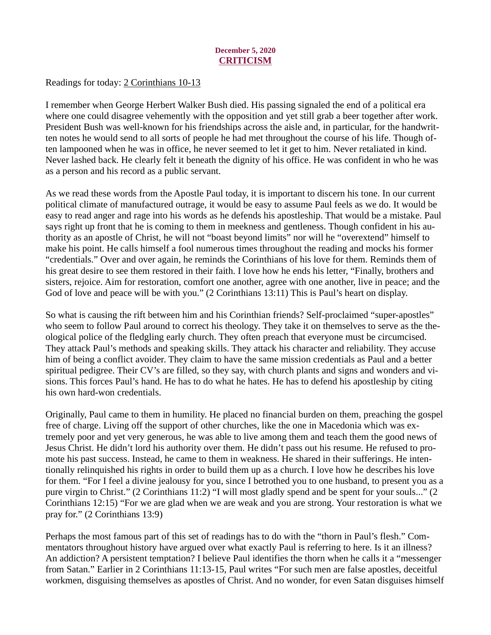# December 5, 2020 **CRITICISM**

<span id="page-9-0"></span>[Readings for today: 2 Corinthians 10-13](https://www.biblegateway.com/passage/?search=2+Corinthians+10-13&version=ESV)

I remember when George Herbert Walker Bush died. His passing signaled the end of a political era where one could disagree vehemently with the opposition and yet still grab a beer together after work. President Bush was well-known for his friendships across the aisle and, in particular, for the handwritten notes he would send to all sorts of people he had met throughout the course of his life. Though often lampooned when he was in office, he never seemed to let it get to him. Never retaliated in kind. Never lashed back. He clearly felt it beneath the dignity of his office. He was confident in who he was as a person and his record as a public servant.

As we read these words from the Apostle Paul today, it is important to discern his tone. In our current political climate of manufactured outrage, it would be easy to assume Paul feels as we do. It would be easy to read anger and rage into his words as he defends his apostleship. That would be a mistake. Paul says right up front that he is coming to them in meekness and gentleness. Though confident in his authority as an apostle of Christ, he will not "boast beyond limits" nor will he "overextend" himself to make his point. He calls himself a fool numerous times throughout the reading and mocks his former "credentials." Over and over again, he reminds the Corinthians of his love for them. Reminds them of his great desire to see them restored in their faith. I love how he ends his letter, "Finally, brothers and sisters, rejoice. Aim for restoration, comfort one another, agree with one another, live in peace; and the God of love and peace will be with you." (2 Corinthians 13:11) This is Paul's heart on display.

So what is causing the rift between him and his Corinthian friends? Self-proclaimed "super-apostles" who seem to follow Paul around to correct his theology. They take it on themselves to serve as the theological police of the fledgling early church. They often preach that everyone must be circumcised. They attack Paul's methods and speaking skills. They attack his character and reliability. They accuse him of being a conflict avoider. They claim to have the same mission credentials as Paul and a better spiritual pedigree. Their CV's are filled, so they say, with church plants and signs and wonders and visions. This forces Paul's hand. He has to do what he hates. He has to defend his apostleship by citing his own hard-won credentials.

Originally, Paul came to them in humility. He placed no financial burden on them, preaching the gospel free of charge. Living off the support of other churches, like the one in Macedonia which was extremely poor and yet very generous, he was able to live among them and teach them the good news of Jesus Christ. He didn't lord his authority over them. He didn't pass out his resume. He refused to promote his past success. Instead, he came to them in weakness. He shared in their sufferings. He intentionally relinquished his rights in order to build them up as a church. I love how he describes his love for them. "For I feel a divine jealousy for you, since I betrothed you to one husband, to present you as a pure virgin to Christ." (2 Corinthians 11:2) "I will most gladly spend and be spent for your souls..." (2 Corinthians 12:15) "For we are glad when we are weak and you are strong. Your restoration is what we pray for." (2 Corinthians 13:9)

Perhaps the most famous part of this set of readings has to do with the "thorn in Paul's flesh." Commentators throughout history have argued over what exactly Paul is referring to here. Is it an illness? An addiction? A persistent temptation? I believe Paul identifies the thorn when he calls it a "messenger from Satan." Earlier in 2 Corinthians 11:13-15, Paul writes "For such men are false apostles, deceitful workmen, disguising themselves as apostles of Christ. And no wonder, for even Satan disguises himself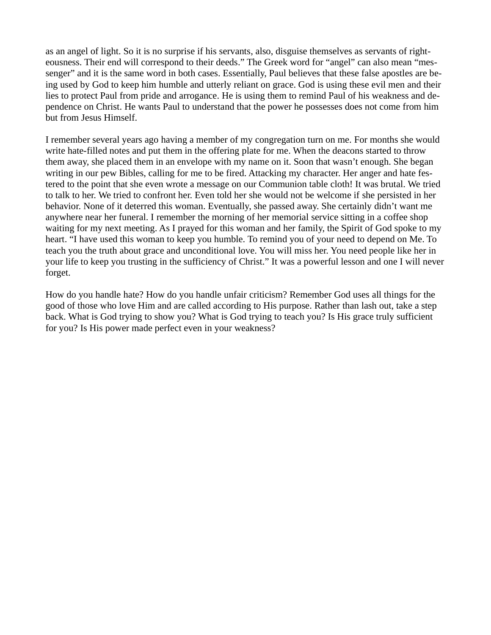as an angel of light. So it is no surprise if his servants, also, disguise themselves as servants of righteousness. Their end will correspond to their deeds." The Greek word for "angel" can also mean "messenger" and it is the same word in both cases. Essentially, Paul believes that these false apostles are being used by God to keep him humble and utterly reliant on grace. God is using these evil men and their lies to protect Paul from pride and arrogance. He is using them to remind Paul of his weakness and dependence on Christ. He wants Paul to understand that the power he possesses does not come from him but from Jesus Himself.

I remember several years ago having a member of my congregation turn on me. For months she would write hate-filled notes and put them in the offering plate for me. When the deacons started to throw them away, she placed them in an envelope with my name on it. Soon that wasn't enough. She began writing in our pew Bibles, calling for me to be fired. Attacking my character. Her anger and hate festered to the point that she even wrote a message on our Communion table cloth! It was brutal. We tried to talk to her. We tried to confront her. Even told her she would not be welcome if she persisted in her behavior. None of it deterred this woman. Eventually, she passed away. She certainly didn't want me anywhere near her funeral. I remember the morning of her memorial service sitting in a coffee shop waiting for my next meeting. As I prayed for this woman and her family, the Spirit of God spoke to my heart. "I have used this woman to keep you humble. To remind you of your need to depend on Me. To teach you the truth about grace and unconditional love. You will miss her. You need people like her in your life to keep you trusting in the sufficiency of Christ." It was a powerful lesson and one I will never forget.

How do you handle hate? How do you handle unfair criticism? Remember God uses all things for the good of those who love Him and are called according to His purpose. Rather than lash out, take a step back. What is God trying to show you? What is God trying to teach you? Is His grace truly sufficient for you? Is His power made perfect even in your weakness?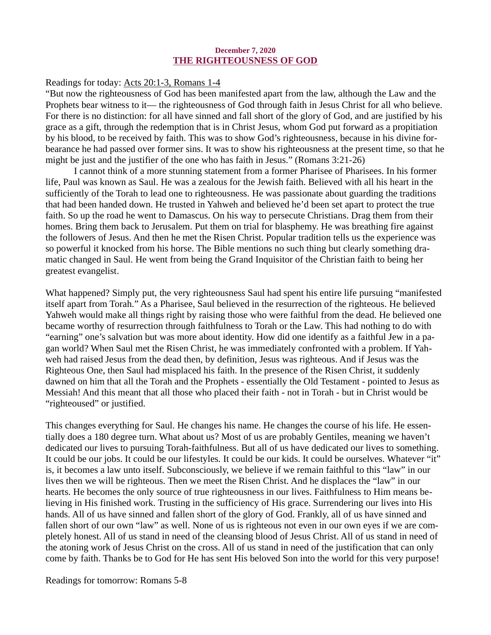#### December 7, 2020 THE RIGHTEOUSNESS OF GOD

## <span id="page-11-0"></span>[Readings for today: Acts 20:1-3, Romans 1-4](https://www.biblegateway.com/passage/?search=Acts+20%3A1-3%2C+Romans+1-4&version=ESV)

"But now the righteousness of God has been manifested apart from the law, although the Law and the Prophets bear witness to it— the righteousness of God through faith in Jesus Christ for all who believe. For there is no distinction: for all have sinned and fall short of the glory of God, and are justified by his grace as a gift, through the redemption that is in Christ Jesus, whom God put forward as a propitiation by his blood, to be received by faith. This was to show God's righteousness, because in his divine forbearance he had passed over former sins. It was to show his righteousness at the present time, so that he might be just and the justifier of the one who has faith in Jesus." (Romans 3:21-26)

I cannot think of a more stunning statement from a former Pharisee of Pharisees. In his former life, Paul was known as Saul. He was a zealous for the Jewish faith. Believed with all his heart in the sufficiently of the Torah to lead one to righteousness. He was passionate about guarding the traditions that had been handed down. He trusted in Yahweh and believed he'd been set apart to protect the true faith. So up the road he went to Damascus. On his way to persecute Christians. Drag them from their homes. Bring them back to Jerusalem. Put them on trial for blasphemy. He was breathing fire against the followers of Jesus. And then he met the Risen Christ. Popular tradition tells us the experience was so powerful it knocked from his horse. The Bible mentions no such thing but clearly something dramatic changed in Saul. He went from being the Grand Inquisitor of the Christian faith to being her greatest evangelist.

What happened? Simply put, the very righteousness Saul had spent his entire life pursuing "manifested itself apart from Torah." As a Pharisee, Saul believed in the resurrection of the righteous. He believed Yahweh would make all things right by raising those who were faithful from the dead. He believed one became worthy of resurrection through faithfulness to Torah or the Law. This had nothing to do with "earning" one's salvation but was more about identity. How did one identify as a faithful Jew in a pagan world? When Saul met the Risen Christ, he was immediately confronted with a problem. If Yahweh had raised Jesus from the dead then, by definition, Jesus was righteous. And if Jesus was the Righteous One, then Saul had misplaced his faith. In the presence of the Risen Christ, it suddenly dawned on him that all the Torah and the Prophets - essentially the Old Testament - pointed to Jesus as Messiah! And this meant that all those who placed their faith - not in Torah - but in Christ would be "righteoused" or justified.

This changes everything for Saul. He changes his name. He changes the course of his life. He essentially does a 180 degree turn. What about us? Most of us are probably Gentiles, meaning we haven't dedicated our lives to pursuing Torah-faithfulness. But all of us have dedicated our lives to something. It could be our jobs. It could be our lifestyles. It could be our kids. It could be ourselves. Whatever "it" is, it becomes a law unto itself. Subconsciously, we believe if we remain faithful to this "law" in our lives then we will be righteous. Then we meet the Risen Christ. And he displaces the "law" in our hearts. He becomes the only source of true righteousness in our lives. Faithfulness to Him means believing in His finished work. Trusting in the sufficiency of His grace. Surrendering our lives into His hands. All of us have sinned and fallen short of the glory of God. Frankly, all of us have sinned and fallen short of our own "law" as well. None of us is righteous not even in our own eyes if we are completely honest. All of us stand in need of the cleansing blood of Jesus Christ. All of us stand in need of the atoning work of Jesus Christ on the cross. All of us stand in need of the justification that can only come by faith. Thanks be to God for He has sent His beloved Son into the world for this very purpose!

Readings for tomorrow: Romans 5-8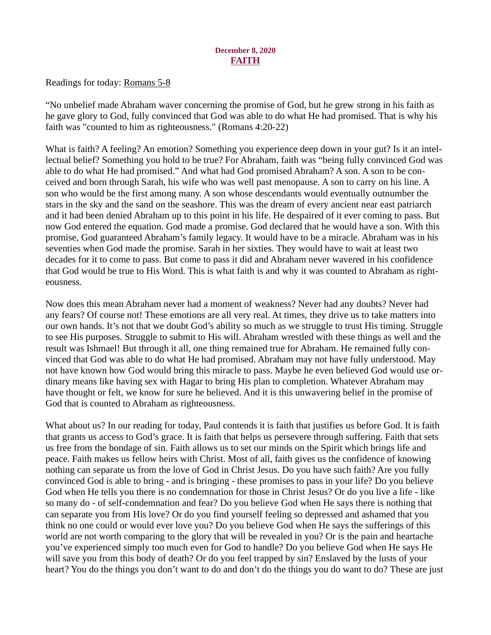# December 8, 2020 **FAITH**

<span id="page-12-0"></span>[Readings for today: Romans 5-8](https://www.biblegateway.com/passage/?search=Romans+5-8&version=ESV)

"No unbelief made Abraham waver concerning the promise of God, but he grew strong in his faith as he gave glory to God, fully convinced that God was able to do what He had promised. That is why his faith was "counted to him as righteousness." (Romans 4:20-22)

What is faith? A feeling? An emotion? Something you experience deep down in your gut? Is it an intellectual belief? Something you hold to be true? For Abraham, faith was "being fully convinced God was able to do what He had promised." And what had God promised Abraham? A son. A son to be conceived and born through Sarah, his wife who was well past menopause. A son to carry on his line. A son who would be the first among many. A son whose descendants would eventually outnumber the stars in the sky and the sand on the seashore. This was the dream of every ancient near east patriarch and it had been denied Abraham up to this point in his life. He despaired of it ever coming to pass. But now God entered the equation. God made a promise. God declared that he would have a son. With this promise, God guaranteed Abraham's family legacy. It would have to be a miracle. Abraham was in his seventies when God made the promise. Sarah in her sixties. They would have to wait at least two decades for it to come to pass. But come to pass it did and Abraham never wavered in his confidence that God would be true to His Word. This is what faith is and why it was counted to Abraham as righteousness.

Now does this mean Abraham never had a moment of weakness? Never had any doubts? Never had any fears? Of course not! These emotions are all very real. At times, they drive us to take matters into our own hands. It's not that we doubt God's ability so much as we struggle to trust His timing. Struggle to see His purposes. Struggle to submit to His will. Abraham wrestled with these things as well and the result was Ishmael! But through it all, one thing remained true for Abraham. He remained fully convinced that God was able to do what He had promised. Abraham may not have fully understood. May not have known how God would bring this miracle to pass. Maybe he even believed God would use ordinary means like having sex with Hagar to bring His plan to completion. Whatever Abraham may have thought or felt, we know for sure he believed. And it is this unwavering belief in the promise of God that is counted to Abraham as righteousness.

What about us? In our reading for today, Paul contends it is faith that justifies us before God. It is faith that grants us access to God's grace. It is faith that helps us persevere through suffering. Faith that sets us free from the bondage of sin. Faith allows us to set our minds on the Spirit which brings life and peace. Faith makes us fellow heirs with Christ. Most of all, faith gives us the confidence of knowing nothing can separate us from the love of God in Christ Jesus. Do you have such faith? Are you fully convinced God is able to bring - and is bringing - these promises to pass in your life? Do you believe God when He tells you there is no condemnation for those in Christ Jesus? Or do you live a life - like so many do - of self-condemnation and fear? Do you believe God when He says there is nothing that can separate you from His love? Or do you find yourself feeling so depressed and ashamed that you think no one could or would ever love you? Do you believe God when He says the sufferings of this world are not worth comparing to the glory that will be revealed in you? Or is the pain and heartache you've experienced simply too much even for God to handle? Do you believe God when He says He will save you from this body of death? Or do you feel trapped by sin? Enslaved by the lusts of your heart? You do the things you don't want to do and don't do the things you do want to do? These are just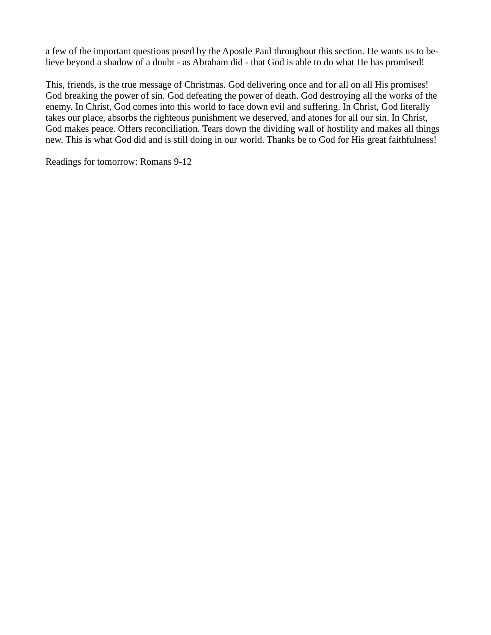a few of the important questions posed by the Apostle Paul throughout this section. He wants us to believe beyond a shadow of a doubt - as Abraham did - that God is able to do what He has promised!

This, friends, is the true message of Christmas. God delivering once and for all on all His promises! God breaking the power of sin. God defeating the power of death. God destroying all the works of the enemy. In Christ, God comes into this world to face down evil and suffering. In Christ, God literally takes our place, absorbs the righteous punishment we deserved, and atones for all our sin. In Christ, God makes peace. Offers reconciliation. Tears down the dividing wall of hostility and makes all things new. This is what God did and is still doing in our world. Thanks be to God for His great faithfulness!

Readings for tomorrow: Romans 9-12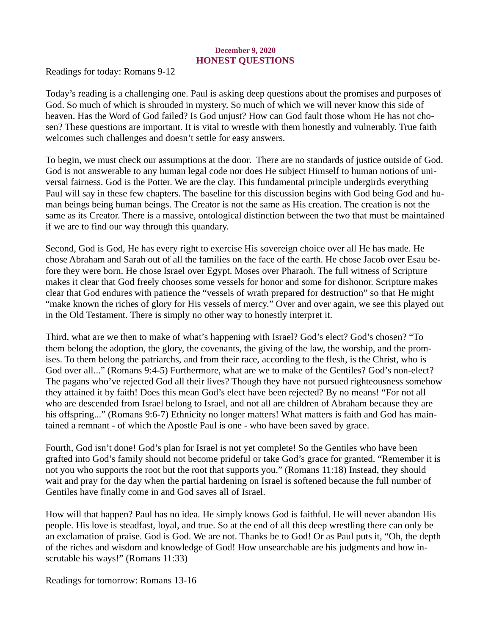# December 9, 2020 HONEST QUESTIONS

<span id="page-14-0"></span>[Readings for today: Romans 9-12](https://www.biblegateway.com/passage/?search=Romans+9-12&version=ESV)

Today's reading is a challenging one. Paul is asking deep questions about the promises and purposes of God. So much of which is shrouded in mystery. So much of which we will never know this side of heaven. Has the Word of God failed? Is God unjust? How can God fault those whom He has not chosen? These questions are important. It is vital to wrestle with them honestly and vulnerably. True faith welcomes such challenges and doesn't settle for easy answers.

To begin, we must check our assumptions at the door. There are no standards of justice outside of God. God is not answerable to any human legal code nor does He subject Himself to human notions of universal fairness. God is the Potter. We are the clay. This fundamental principle undergirds everything Paul will say in these few chapters. The baseline for this discussion begins with God being God and human beings being human beings. The Creator is not the same as His creation. The creation is not the same as its Creator. There is a massive, ontological distinction between the two that must be maintained if we are to find our way through this quandary.

Second, God is God, He has every right to exercise His sovereign choice over all He has made. He chose Abraham and Sarah out of all the families on the face of the earth. He chose Jacob over Esau before they were born. He chose Israel over Egypt. Moses over Pharaoh. The full witness of Scripture makes it clear that God freely chooses some vessels for honor and some for dishonor. Scripture makes clear that God endures with patience the "vessels of wrath prepared for destruction" so that He might "make known the riches of glory for His vessels of mercy." Over and over again, we see this played out in the Old Testament. There is simply no other way to honestly interpret it.

Third, what are we then to make of what's happening with Israel? God's elect? God's chosen? "To them belong the adoption, the glory, the covenants, the giving of the law, the worship, and the promises. To them belong the patriarchs, and from their race, according to the flesh, is the Christ, who is God over all..." (Romans 9:4-5) Furthermore, what are we to make of the Gentiles? God's non-elect? The pagans who've rejected God all their lives? Though they have not pursued righteousness somehow they attained it by faith! Does this mean God's elect have been rejected? By no means! "For not all who are descended from Israel belong to Israel, and not all are children of Abraham because they are his offspring..." (Romans 9:6-7) Ethnicity no longer matters! What matters is faith and God has maintained a remnant - of which the Apostle Paul is one - who have been saved by grace.

Fourth, God isn't done! God's plan for Israel is not yet complete! So the Gentiles who have been grafted into God's family should not become prideful or take God's grace for granted. "Remember it is not you who supports the root but the root that supports you." (Romans 11:18) Instead, they should wait and pray for the day when the partial hardening on Israel is softened because the full number of Gentiles have finally come in and God saves all of Israel.

How will that happen? Paul has no idea. He simply knows God is faithful. He will never abandon His people. His love is steadfast, loyal, and true. So at the end of all this deep wrestling there can only be an exclamation of praise. God is God. We are not. Thanks be to God! Or as Paul puts it, "Oh, the depth of the riches and wisdom and knowledge of God! How unsearchable are his judgments and how inscrutable his ways!" (Romans 11:33)

Readings for tomorrow: Romans 13-16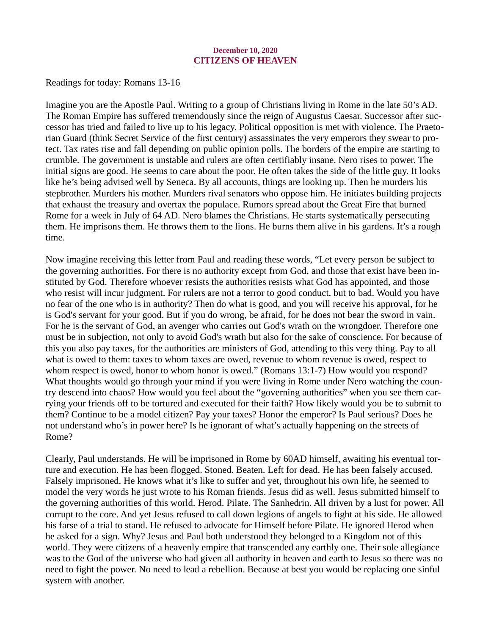## December 10, 2020 CITIZENS OF HEAVEN

<span id="page-15-0"></span>[Readings for today: Romans 13-16](https://www.biblegateway.com/passage/?search=Romans+13-16&version=ESV)

Imagine you are the Apostle Paul. Writing to a group of Christians living in Rome in the late 50's AD. The Roman Empire has suffered tremendously since the reign of Augustus Caesar. Successor after successor has tried and failed to live up to his legacy. Political opposition is met with violence. The Praetorian Guard (think Secret Service of the first century) assassinates the very emperors they swear to protect. Tax rates rise and fall depending on public opinion polls. The borders of the empire are starting to crumble. The government is unstable and rulers are often certifiably insane. Nero rises to power. The initial signs are good. He seems to care about the poor. He often takes the side of the little guy. It looks like he's being advised well by Seneca. By all accounts, things are looking up. Then he murders his stepbrother. Murders his mother. Murders rival senators who oppose him. He initiates building projects that exhaust the treasury and overtax the populace. Rumors spread about the Great Fire that burned Rome for a week in July of 64 AD. Nero blames the Christians. He starts systematically persecuting them. He imprisons them. He throws them to the lions. He burns them alive in his gardens. It's a rough time.

Now imagine receiving this letter from Paul and reading these words, "Let every person be subject to the governing authorities. For there is no authority except from God, and those that exist have been instituted by God. Therefore whoever resists the authorities resists what God has appointed, and those who resist will incur judgment. For rulers are not a terror to good conduct, but to bad. Would you have no fear of the one who is in authority? Then do what is good, and you will receive his approval, for he is God's servant for your good. But if you do wrong, be afraid, for he does not bear the sword in vain. For he is the servant of God, an avenger who carries out God's wrath on the wrongdoer. Therefore one must be in subjection, not only to avoid God's wrath but also for the sake of conscience. For because of this you also pay taxes, for the authorities are ministers of God, attending to this very thing. Pay to all what is owed to them: taxes to whom taxes are owed, revenue to whom revenue is owed, respect to whom respect is owed, honor to whom honor is owed." (Romans 13:1-7) How would you respond? What thoughts would go through your mind if you were living in Rome under Nero watching the country descend into chaos? How would you feel about the "governing authorities" when you see them carrying your friends off to be tortured and executed for their faith? How likely would you be to submit to them? Continue to be a model citizen? Pay your taxes? Honor the emperor? Is Paul serious? Does he not understand who's in power here? Is he ignorant of what's actually happening on the streets of Rome?

Clearly, Paul understands. He will be imprisoned in Rome by 60AD himself, awaiting his eventual torture and execution. He has been flogged. Stoned. Beaten. Left for dead. He has been falsely accused. Falsely imprisoned. He knows what it's like to suffer and yet, throughout his own life, he seemed to model the very words he just wrote to his Roman friends. Jesus did as well. Jesus submitted himself to the governing authorities of this world. Herod. Pilate. The Sanhedrin. All driven by a lust for power. All corrupt to the core. And yet Jesus refused to call down legions of angels to fight at his side. He allowed his farse of a trial to stand. He refused to advocate for Himself before Pilate. He ignored Herod when he asked for a sign. Why? Jesus and Paul both understood they belonged to a Kingdom not of this world. They were citizens of a heavenly empire that transcended any earthly one. Their sole allegiance was to the God of the universe who had given all authority in heaven and earth to Jesus so there was no need to fight the power. No need to lead a rebellion. Because at best you would be replacing one sinful system with another.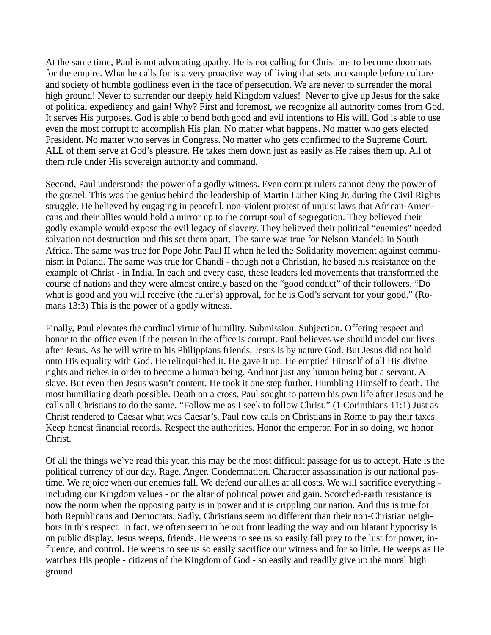At the same time, Paul is not advocating apathy. He is not calling for Christians to become doormats for the empire. What he calls for is a very proactive way of living that sets an example before culture and society of humble godliness even in the face of persecution. We are never to surrender the moral high ground! Never to surrender our deeply held Kingdom values! Never to give up Jesus for the sake of political expediency and gain! Why? First and foremost, we recognize all authority comes from God. It serves His purposes. God is able to bend both good and evil intentions to His will. God is able to use even the most corrupt to accomplish His plan. No matter what happens. No matter who gets elected President. No matter who serves in Congress. No matter who gets confirmed to the Supreme Court. ALL of them serve at God's pleasure. He takes them down just as easily as He raises them up. All of them rule under His sovereign authority and command.

Second, Paul understands the power of a godly witness. Even corrupt rulers cannot deny the power of the gospel. This was the genius behind the leadership of Martin Luther King Jr. during the Civil Rights struggle. He believed by engaging in peaceful, non-violent protest of unjust laws that African-Americans and their allies would hold a mirror up to the corrupt soul of segregation. They believed their godly example would expose the evil legacy of slavery. They believed their political "enemies" needed salvation not destruction and this set them apart. The same was true for Nelson Mandela in South Africa. The same was true for Pope John Paul II when he led the Solidarity movement against communism in Poland. The same was true for Ghandi - though not a Christian, he based his resistance on the example of Christ - in India. In each and every case, these leaders led movements that transformed the course of nations and they were almost entirely based on the "good conduct" of their followers. "Do what is good and you will receive (the ruler's) approval, for he is God's servant for your good." (Romans 13:3) This is the power of a godly witness.

Finally, Paul elevates the cardinal virtue of humility. Submission. Subjection. Offering respect and honor to the office even if the person in the office is corrupt. Paul believes we should model our lives after Jesus. As he will write to his Philippians friends, Jesus is by nature God. But Jesus did not hold onto His equality with God. He relinquished it. He gave it up. He emptied Himself of all His divine rights and riches in order to become a human being. And not just any human being but a servant. A slave. But even then Jesus wasn't content. He took it one step further. Humbling Himself to death. The most humiliating death possible. Death on a cross. Paul sought to pattern his own life after Jesus and he calls all Christians to do the same. "Follow me as I seek to follow Christ." (1 Corinthians 11:1) Just as Christ rendered to Caesar what was Caesar's, Paul now calls on Christians in Rome to pay their taxes. Keep honest financial records. Respect the authorities. Honor the emperor. For in so doing, we honor Christ.

Of all the things we've read this year, this may be the most difficult passage for us to accept. Hate is the political currency of our day. Rage. Anger. Condemnation. Character assassination is our national pastime. We rejoice when our enemies fall. We defend our allies at all costs. We will sacrifice everything including our Kingdom values - on the altar of political power and gain. Scorched-earth resistance is now the norm when the opposing party is in power and it is crippling our nation. And this is true for both Republicans and Democrats. Sadly, Christians seem no different than their non-Christian neighbors in this respect. In fact, we often seem to be out front leading the way and our blatant hypocrisy is on public display. Jesus weeps, friends. He weeps to see us so easily fall prey to the lust for power, influence, and control. He weeps to see us so easily sacrifice our witness and for so little. He weeps as He watches His people - citizens of the Kingdom of God - so easily and readily give up the moral high ground.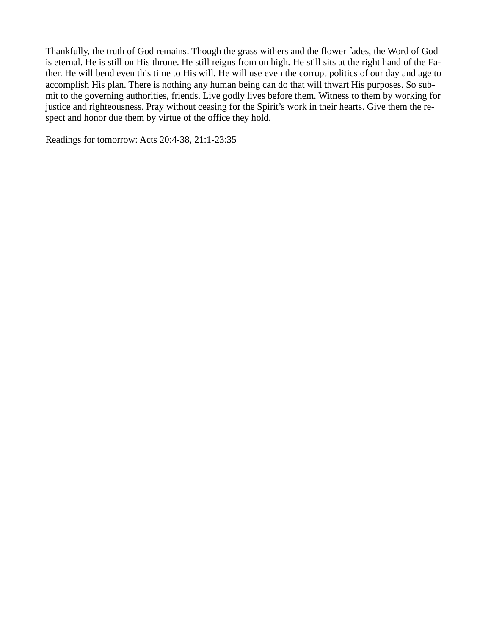Thankfully, the truth of God remains. Though the grass withers and the flower fades, the Word of God is eternal. He is still on His throne. He still reigns from on high. He still sits at the right hand of the Father. He will bend even this time to His will. He will use even the corrupt politics of our day and age to accomplish His plan. There is nothing any human being can do that will thwart His purposes. So submit to the governing authorities, friends. Live godly lives before them. Witness to them by working for justice and righteousness. Pray without ceasing for the Spirit's work in their hearts. Give them the respect and honor due them by virtue of the office they hold.

Readings for tomorrow: Acts 20:4-38, 21:1-23:35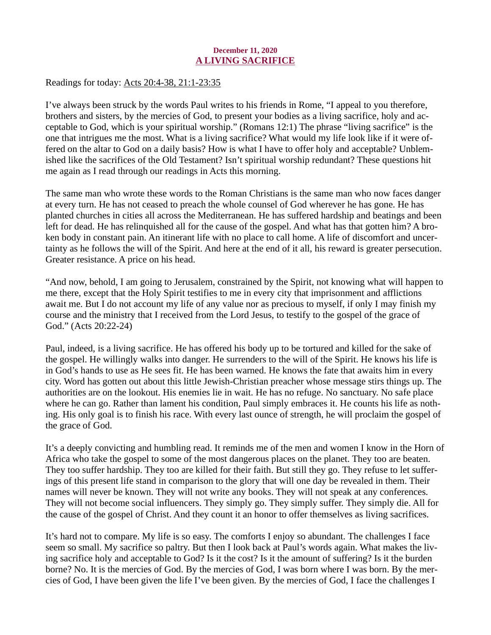# December 11, 2020 A LIVING SACRIFICE

<span id="page-18-0"></span>[Readings for today: Acts 20:4-38, 21:1-23:35](https://www.biblegateway.com/passage/?search=Acts+20%3A4-38%2C+21%3A1-23%3A35&version=ESV)

I've always been struck by the words Paul writes to his friends in Rome, "I appeal to you therefore, brothers and sisters, by the mercies of God, to present your bodies as a living sacrifice, holy and acceptable to God, which is your spiritual worship." (Romans 12:1) The phrase "living sacrifice" is the one that intrigues me the most. What is a living sacrifice? What would my life look like if it were offered on the altar to God on a daily basis? How is what I have to offer holy and acceptable? Unblemished like the sacrifices of the Old Testament? Isn't spiritual worship redundant? These questions hit me again as I read through our readings in Acts this morning.

The same man who wrote these words to the Roman Christians is the same man who now faces danger at every turn. He has not ceased to preach the whole counsel of God wherever he has gone. He has planted churches in cities all across the Mediterranean. He has suffered hardship and beatings and been left for dead. He has relinquished all for the cause of the gospel. And what has that gotten him? A broken body in constant pain. An itinerant life with no place to call home. A life of discomfort and uncertainty as he follows the will of the Spirit. And here at the end of it all, his reward is greater persecution. Greater resistance. A price on his head.

"And now, behold, I am going to Jerusalem, constrained by the Spirit, not knowing what will happen to me there, except that the Holy Spirit testifies to me in every city that imprisonment and afflictions await me. But I do not account my life of any value nor as precious to myself, if only I may finish my course and the ministry that I received from the Lord Jesus, to testify to the gospel of the grace of God." (Acts 20:22-24)

Paul, indeed, is a living sacrifice. He has offered his body up to be tortured and killed for the sake of the gospel. He willingly walks into danger. He surrenders to the will of the Spirit. He knows his life is in God's hands to use as He sees fit. He has been warned. He knows the fate that awaits him in every city. Word has gotten out about this little Jewish-Christian preacher whose message stirs things up. The authorities are on the lookout. His enemies lie in wait. He has no refuge. No sanctuary. No safe place where he can go. Rather than lament his condition, Paul simply embraces it. He counts his life as nothing. His only goal is to finish his race. With every last ounce of strength, he will proclaim the gospel of the grace of God.

It's a deeply convicting and humbling read. It reminds me of the men and women I know in the Horn of Africa who take the gospel to some of the most dangerous places on the planet. They too are beaten. They too suffer hardship. They too are killed for their faith. But still they go. They refuse to let sufferings of this present life stand in comparison to the glory that will one day be revealed in them. Their names will never be known. They will not write any books. They will not speak at any conferences. They will not become social influencers. They simply go. They simply suffer. They simply die. All for the cause of the gospel of Christ. And they count it an honor to offer themselves as living sacrifices.

It's hard not to compare. My life is so easy. The comforts I enjoy so abundant. The challenges I face seem so small. My sacrifice so paltry. But then I look back at Paul's words again. What makes the living sacrifice holy and acceptable to God? Is it the cost? Is it the amount of suffering? Is it the burden borne? No. It is the mercies of God. By the mercies of God, I was born where I was born. By the mercies of God, I have been given the life I've been given. By the mercies of God, I face the challenges I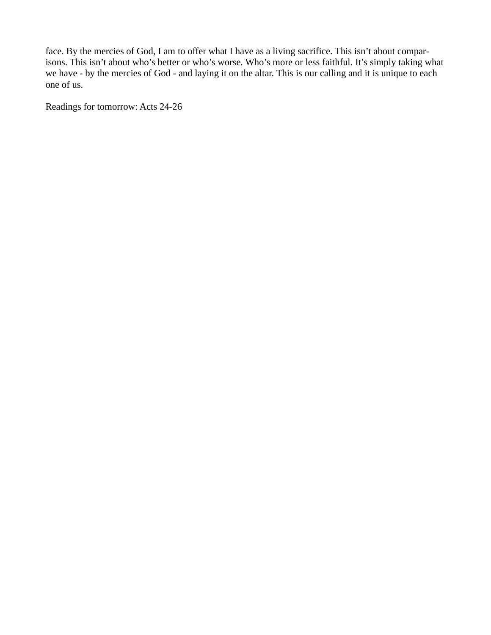face. By the mercies of God, I am to offer what I have as a living sacrifice. This isn't about comparisons. This isn't about who's better or who's worse. Who's more or less faithful. It's simply taking what we have - by the mercies of God - and laying it on the altar. This is our calling and it is unique to each one of us.

Readings for tomorrow: Acts 24-26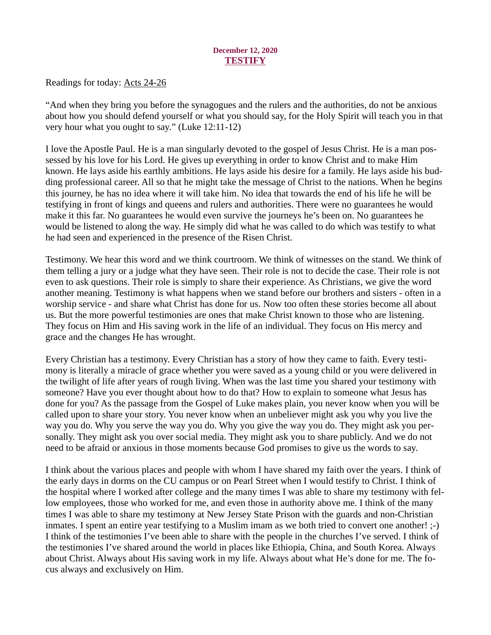# December 12, 2020 **TESTIFY**

<span id="page-20-0"></span>[Readings for today: Acts 24-26](https://www.biblegateway.com/passage/?search=Acts+24-26&version=ESV)

"And when they bring you before the synagogues and the rulers and the authorities, do not be anxious about how you should defend yourself or what you should say, for the Holy Spirit will teach you in that very hour what you ought to say." (Luke 12:11-12)

I love the Apostle Paul. He is a man singularly devoted to the gospel of Jesus Christ. He is a man possessed by his love for his Lord. He gives up everything in order to know Christ and to make Him known. He lays aside his earthly ambitions. He lays aside his desire for a family. He lays aside his budding professional career. All so that he might take the message of Christ to the nations. When he begins this journey, he has no idea where it will take him. No idea that towards the end of his life he will be testifying in front of kings and queens and rulers and authorities. There were no guarantees he would make it this far. No guarantees he would even survive the journeys he's been on. No guarantees he would be listened to along the way. He simply did what he was called to do which was testify to what he had seen and experienced in the presence of the Risen Christ.

Testimony. We hear this word and we think courtroom. We think of witnesses on the stand. We think of them telling a jury or a judge what they have seen. Their role is not to decide the case. Their role is not even to ask questions. Their role is simply to share their experience. As Christians, we give the word another meaning. Testimony is what happens when we stand before our brothers and sisters - often in a worship service - and share what Christ has done for us. Now too often these stories become all about us. But the more powerful testimonies are ones that make Christ known to those who are listening. They focus on Him and His saving work in the life of an individual. They focus on His mercy and grace and the changes He has wrought.

Every Christian has a testimony. Every Christian has a story of how they came to faith. Every testimony is literally a miracle of grace whether you were saved as a young child or you were delivered in the twilight of life after years of rough living. When was the last time you shared your testimony with someone? Have you ever thought about how to do that? How to explain to someone what Jesus has done for you? As the passage from the Gospel of Luke makes plain, you never know when you will be called upon to share your story. You never know when an unbeliever might ask you why you live the way you do. Why you serve the way you do. Why you give the way you do. They might ask you personally. They might ask you over social media. They might ask you to share publicly. And we do not need to be afraid or anxious in those moments because God promises to give us the words to say.

I think about the various places and people with whom I have shared my faith over the years. I think of the early days in dorms on the CU campus or on Pearl Street when I would testify to Christ. I think of the hospital where I worked after college and the many times I was able to share my testimony with fellow employees, those who worked for me, and even those in authority above me. I think of the many times I was able to share my testimony at New Jersey State Prison with the guards and non-Christian inmates. I spent an entire year testifying to a Muslim imam as we both tried to convert one another! ;-) I think of the testimonies I've been able to share with the people in the churches I've served. I think of the testimonies I've shared around the world in places like Ethiopia, China, and South Korea. Always about Christ. Always about His saving work in my life. Always about what He's done for me. The focus always and exclusively on Him.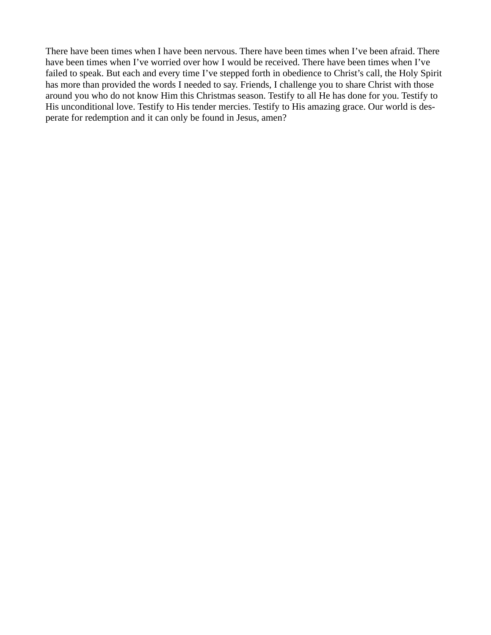There have been times when I have been nervous. There have been times when I've been afraid. There have been times when I've worried over how I would be received. There have been times when I've failed to speak. But each and every time I've stepped forth in obedience to Christ's call, the Holy Spirit has more than provided the words I needed to say. Friends, I challenge you to share Christ with those around you who do not know Him this Christmas season. Testify to all He has done for you. Testify to His unconditional love. Testify to His tender mercies. Testify to His amazing grace. Our world is desperate for redemption and it can only be found in Jesus, amen?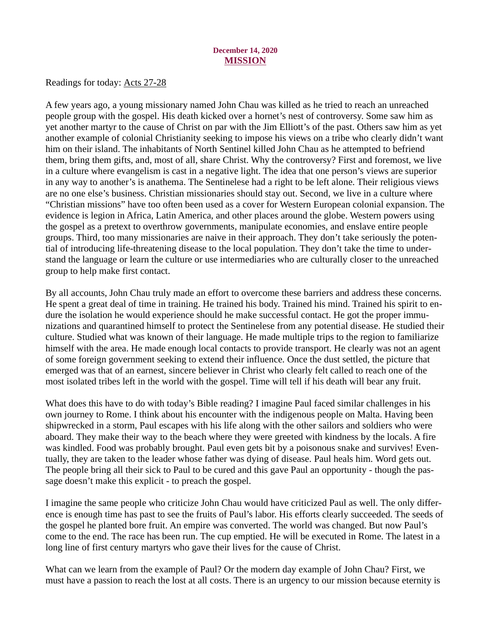#### December 14, 2020 MISSION

<span id="page-22-0"></span>[Readings for today: Acts 27-28](https://www.biblegateway.com/passage/?search=Acts+27-28&version=ESV)

A few years ago, a young missionary named John Chau was killed as he tried to reach an unreached people group with the gospel. His death kicked over a hornet's nest of controversy. Some saw him as yet another martyr to the cause of Christ on par with the Jim Elliott's of the past. Others saw him as yet another example of colonial Christianity seeking to impose his views on a tribe who clearly didn't want him on their island. The inhabitants of North Sentinel killed John Chau as he attempted to befriend them, bring them gifts, and, most of all, share Christ. Why the controversy? First and foremost, we live in a culture where evangelism is cast in a negative light. The idea that one person's views are superior in any way to another's is anathema. The Sentinelese had a right to be left alone. Their religious views are no one else's business. Christian missionaries should stay out. Second, we live in a culture where "Christian missions" have too often been used as a cover for Western European colonial expansion. The evidence is legion in Africa, Latin America, and other places around the globe. Western powers using the gospel as a pretext to overthrow governments, manipulate economies, and enslave entire people groups. Third, too many missionaries are naive in their approach. They don't take seriously the potential of introducing life-threatening disease to the local population. They don't take the time to understand the language or learn the culture or use intermediaries who are culturally closer to the unreached group to help make first contact.

By all accounts, John Chau truly made an effort to overcome these barriers and address these concerns. He spent a great deal of time in training. He trained his body. Trained his mind. Trained his spirit to endure the isolation he would experience should he make successful contact. He got the proper immunizations and quarantined himself to protect the Sentinelese from any potential disease. He studied their culture. Studied what was known of their language. He made multiple trips to the region to familiarize himself with the area. He made enough local contacts to provide transport. He clearly was not an agent of some foreign government seeking to extend their influence. Once the dust settled, the picture that emerged was that of an earnest, sincere believer in Christ who clearly felt called to reach one of the most isolated tribes left in the world with the gospel. Time will tell if his death will bear any fruit.

What does this have to do with today's Bible reading? I imagine Paul faced similar challenges in his own journey to Rome. I think about his encounter with the indigenous people on Malta. Having been shipwrecked in a storm, Paul escapes with his life along with the other sailors and soldiers who were aboard. They make their way to the beach where they were greeted with kindness by the locals. A fire was kindled. Food was probably brought. Paul even gets bit by a poisonous snake and survives! Eventually, they are taken to the leader whose father was dying of disease. Paul heals him. Word gets out. The people bring all their sick to Paul to be cured and this gave Paul an opportunity - though the passage doesn't make this explicit - to preach the gospel.

I imagine the same people who criticize John Chau would have criticized Paul as well. The only difference is enough time has past to see the fruits of Paul's labor. His efforts clearly succeeded. The seeds of the gospel he planted bore fruit. An empire was converted. The world was changed. But now Paul's come to the end. The race has been run. The cup emptied. He will be executed in Rome. The latest in a long line of first century martyrs who gave their lives for the cause of Christ.

What can we learn from the example of Paul? Or the modern day example of John Chau? First, we must have a passion to reach the lost at all costs. There is an urgency to our mission because eternity is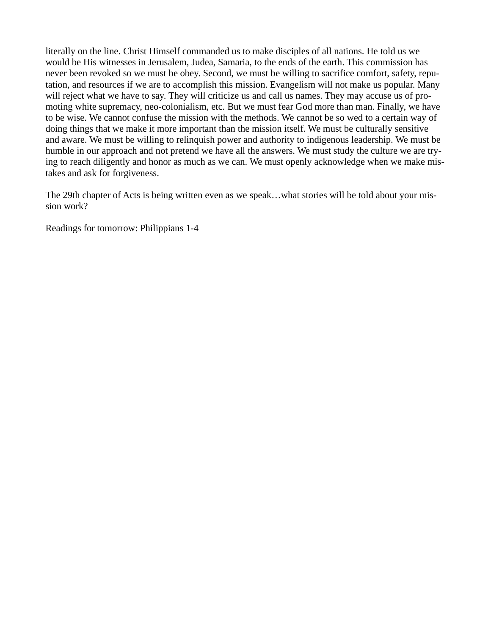literally on the line. Christ Himself commanded us to make disciples of all nations. He told us we would be His witnesses in Jerusalem, Judea, Samaria, to the ends of the earth. This commission has never been revoked so we must be obey. Second, we must be willing to sacrifice comfort, safety, reputation, and resources if we are to accomplish this mission. Evangelism will not make us popular. Many will reject what we have to say. They will criticize us and call us names. They may accuse us of promoting white supremacy, neo-colonialism, etc. But we must fear God more than man. Finally, we have to be wise. We cannot confuse the mission with the methods. We cannot be so wed to a certain way of doing things that we make it more important than the mission itself. We must be culturally sensitive and aware. We must be willing to relinquish power and authority to indigenous leadership. We must be humble in our approach and not pretend we have all the answers. We must study the culture we are trying to reach diligently and honor as much as we can. We must openly acknowledge when we make mistakes and ask for forgiveness.

The 29th chapter of Acts is being written even as we speak…what stories will be told about your mission work?

Readings for tomorrow: Philippians 1-4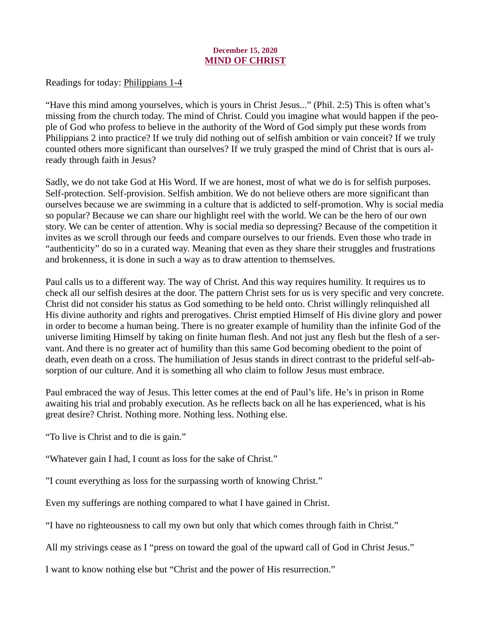# December 15, 2020 MIND OF CHRIST

<span id="page-24-0"></span>[Readings for today: Philippians 1-4](https://www.biblegateway.com/passage/?search=Philippians+1-4&version=ESV)

"Have this mind among yourselves, which is yours in Christ Jesus..." (Phil. 2:5) This is often what's missing from the church today. The mind of Christ. Could you imagine what would happen if the people of God who profess to believe in the authority of the Word of God simply put these words from Philippians 2 into practice? If we truly did nothing out of selfish ambition or vain conceit? If we truly counted others more significant than ourselves? If we truly grasped the mind of Christ that is ours already through faith in Jesus?

Sadly, we do not take God at His Word. If we are honest, most of what we do is for selfish purposes. Self-protection. Self-provision. Selfish ambition. We do not believe others are more significant than ourselves because we are swimming in a culture that is addicted to self-promotion. Why is social media so popular? Because we can share our highlight reel with the world. We can be the hero of our own story. We can be center of attention. Why is social media so depressing? Because of the competition it invites as we scroll through our feeds and compare ourselves to our friends. Even those who trade in "authenticity" do so in a curated way. Meaning that even as they share their struggles and frustrations and brokenness, it is done in such a way as to draw attention to themselves.

Paul calls us to a different way. The way of Christ. And this way requires humility. It requires us to check all our selfish desires at the door. The pattern Christ sets for us is very specific and very concrete. Christ did not consider his status as God something to be held onto. Christ willingly relinquished all His divine authority and rights and prerogatives. Christ emptied Himself of His divine glory and power in order to become a human being. There is no greater example of humility than the infinite God of the universe limiting Himself by taking on finite human flesh. And not just any flesh but the flesh of a servant. And there is no greater act of humility than this same God becoming obedient to the point of death, even death on a cross. The humiliation of Jesus stands in direct contrast to the prideful self-absorption of our culture. And it is something all who claim to follow Jesus must embrace.

Paul embraced the way of Jesus. This letter comes at the end of Paul's life. He's in prison in Rome awaiting his trial and probably execution. As he reflects back on all he has experienced, what is his great desire? Christ. Nothing more. Nothing less. Nothing else.

"To live is Christ and to die is gain."

"Whatever gain I had, I count as loss for the sake of Christ."

"I count everything as loss for the surpassing worth of knowing Christ."

Even my sufferings are nothing compared to what I have gained in Christ.

"I have no righteousness to call my own but only that which comes through faith in Christ."

All my strivings cease as I "press on toward the goal of the upward call of God in Christ Jesus."

I want to know nothing else but "Christ and the power of His resurrection."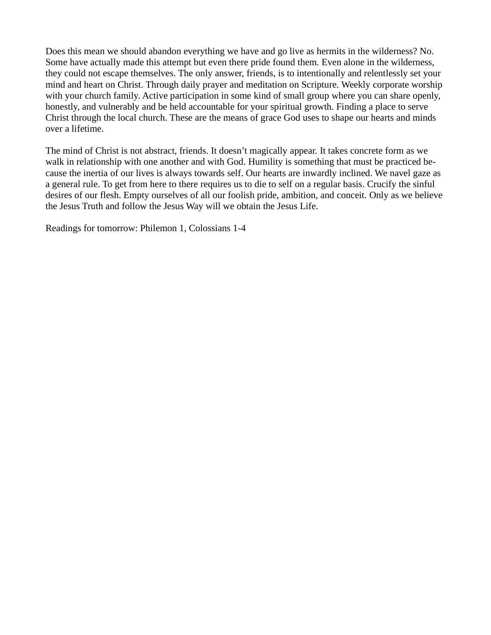Does this mean we should abandon everything we have and go live as hermits in the wilderness? No. Some have actually made this attempt but even there pride found them. Even alone in the wilderness, they could not escape themselves. The only answer, friends, is to intentionally and relentlessly set your mind and heart on Christ. Through daily prayer and meditation on Scripture. Weekly corporate worship with your church family. Active participation in some kind of small group where you can share openly, honestly, and vulnerably and be held accountable for your spiritual growth. Finding a place to serve Christ through the local church. These are the means of grace God uses to shape our hearts and minds over a lifetime.

The mind of Christ is not abstract, friends. It doesn't magically appear. It takes concrete form as we walk in relationship with one another and with God. Humility is something that must be practiced because the inertia of our lives is always towards self. Our hearts are inwardly inclined. We navel gaze as a general rule. To get from here to there requires us to die to self on a regular basis. Crucify the sinful desires of our flesh. Empty ourselves of all our foolish pride, ambition, and conceit. Only as we believe the Jesus Truth and follow the Jesus Way will we obtain the Jesus Life.

Readings for tomorrow: Philemon 1, Colossians 1-4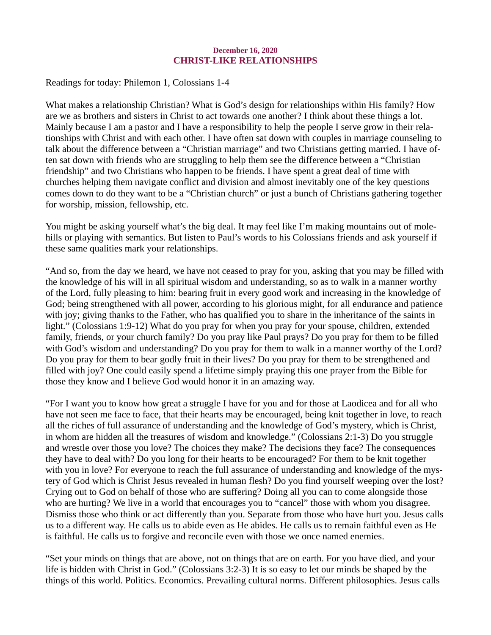# December 16, 2020 CHRIST-LIKE RELATIONSHIPS

<span id="page-26-0"></span>[Readings for today: Philemon 1, Colossians 1-4](https://www.biblegateway.com/passage/?search=Philemon+1%2C+Colossians+1-4&version=ESV)

What makes a relationship Christian? What is God's design for relationships within His family? How are we as brothers and sisters in Christ to act towards one another? I think about these things a lot. Mainly because I am a pastor and I have a responsibility to help the people I serve grow in their relationships with Christ and with each other. I have often sat down with couples in marriage counseling to talk about the difference between a "Christian marriage" and two Christians getting married. I have often sat down with friends who are struggling to help them see the difference between a "Christian friendship" and two Christians who happen to be friends. I have spent a great deal of time with churches helping them navigate conflict and division and almost inevitably one of the key questions comes down to do they want to be a "Christian church" or just a bunch of Christians gathering together for worship, mission, fellowship, etc.

You might be asking yourself what's the big deal. It may feel like I'm making mountains out of molehills or playing with semantics. But listen to Paul's words to his Colossians friends and ask yourself if these same qualities mark your relationships.

"And so, from the day we heard, we have not ceased to pray for you, asking that you may be filled with the knowledge of his will in all spiritual wisdom and understanding, so as to walk in a manner worthy of the Lord, fully pleasing to him: bearing fruit in every good work and increasing in the knowledge of God; being strengthened with all power, according to his glorious might, for all endurance and patience with joy; giving thanks to the Father, who has qualified you to share in the inheritance of the saints in light." (Colossians 1:9-12) What do you pray for when you pray for your spouse, children, extended family, friends, or your church family? Do you pray like Paul prays? Do you pray for them to be filled with God's wisdom and understanding? Do you pray for them to walk in a manner worthy of the Lord? Do you pray for them to bear godly fruit in their lives? Do you pray for them to be strengthened and filled with joy? One could easily spend a lifetime simply praying this one prayer from the Bible for those they know and I believe God would honor it in an amazing way.

"For I want you to know how great a struggle I have for you and for those at Laodicea and for all who have not seen me face to face, that their hearts may be encouraged, being knit together in love, to reach all the riches of full assurance of understanding and the knowledge of God's mystery, which is Christ, in whom are hidden all the treasures of wisdom and knowledge." (Colossians 2:1-3) Do you struggle and wrestle over those you love? The choices they make? The decisions they face? The consequences they have to deal with? Do you long for their hearts to be encouraged? For them to be knit together with you in love? For everyone to reach the full assurance of understanding and knowledge of the mystery of God which is Christ Jesus revealed in human flesh? Do you find yourself weeping over the lost? Crying out to God on behalf of those who are suffering? Doing all you can to come alongside those who are hurting? We live in a world that encourages you to "cancel" those with whom you disagree. Dismiss those who think or act differently than you. Separate from those who have hurt you. Jesus calls us to a different way. He calls us to abide even as He abides. He calls us to remain faithful even as He is faithful. He calls us to forgive and reconcile even with those we once named enemies.

"Set your minds on things that are above, not on things that are on earth. For you have died, and your life is hidden with Christ in God." (Colossians 3:2-3) It is so easy to let our minds be shaped by the things of this world. Politics. Economics. Prevailing cultural norms. Different philosophies. Jesus calls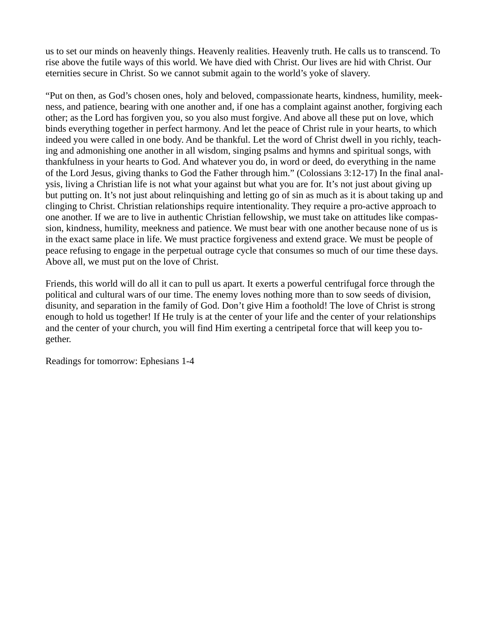us to set our minds on heavenly things. Heavenly realities. Heavenly truth. He calls us to transcend. To rise above the futile ways of this world. We have died with Christ. Our lives are hid with Christ. Our eternities secure in Christ. So we cannot submit again to the world's yoke of slavery.

"Put on then, as God's chosen ones, holy and beloved, compassionate hearts, kindness, humility, meekness, and patience, bearing with one another and, if one has a complaint against another, forgiving each other; as the Lord has forgiven you, so you also must forgive. And above all these put on love, which binds everything together in perfect harmony. And let the peace of Christ rule in your hearts, to which indeed you were called in one body. And be thankful. Let the word of Christ dwell in you richly, teaching and admonishing one another in all wisdom, singing psalms and hymns and spiritual songs, with thankfulness in your hearts to God. And whatever you do, in word or deed, do everything in the name of the Lord Jesus, giving thanks to God the Father through him." (Colossians 3:12-17) In the final analysis, living a Christian life is not what your against but what you are for. It's not just about giving up but putting on. It's not just about relinquishing and letting go of sin as much as it is about taking up and clinging to Christ. Christian relationships require intentionality. They require a pro-active approach to one another. If we are to live in authentic Christian fellowship, we must take on attitudes like compassion, kindness, humility, meekness and patience. We must bear with one another because none of us is in the exact same place in life. We must practice forgiveness and extend grace. We must be people of peace refusing to engage in the perpetual outrage cycle that consumes so much of our time these days. Above all, we must put on the love of Christ.

Friends, this world will do all it can to pull us apart. It exerts a powerful centrifugal force through the political and cultural wars of our time. The enemy loves nothing more than to sow seeds of division, disunity, and separation in the family of God. Don't give Him a foothold! The love of Christ is strong enough to hold us together! If He truly is at the center of your life and the center of your relationships and the center of your church, you will find Him exerting a centripetal force that will keep you together.

Readings for tomorrow: Ephesians 1-4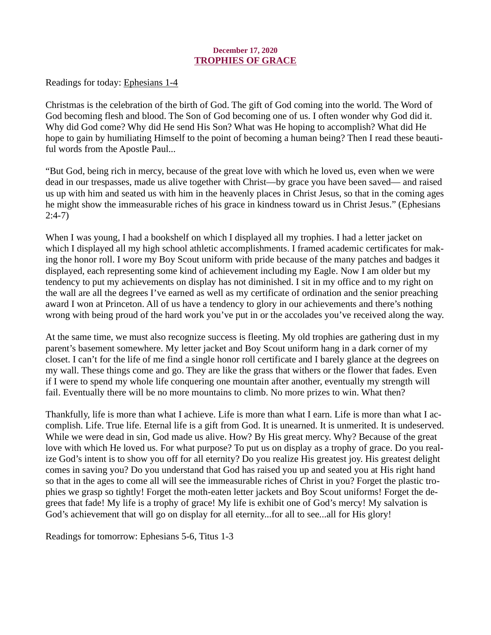# December 17, 2020 TROPHIES OF GRACE

<span id="page-28-0"></span>[Readings for today: Ephesians 1-4](https://www.biblegateway.com/passage/?search=Ephesians+1-4&version=ESV)

Christmas is the celebration of the birth of God. The gift of God coming into the world. The Word of God becoming flesh and blood. The Son of God becoming one of us. I often wonder why God did it. Why did God come? Why did He send His Son? What was He hoping to accomplish? What did He hope to gain by humiliating Himself to the point of becoming a human being? Then I read these beautiful words from the Apostle Paul...

"But God, being rich in mercy, because of the great love with which he loved us, even when we were dead in our trespasses, made us alive together with Christ—by grace you have been saved— and raised us up with him and seated us with him in the heavenly places in Christ Jesus, so that in the coming ages he might show the immeasurable riches of his grace in kindness toward us in Christ Jesus." (Ephesians 2:4-7)

When I was young, I had a bookshelf on which I displayed all my trophies. I had a letter jacket on which I displayed all my high school athletic accomplishments. I framed academic certificates for making the honor roll. I wore my Boy Scout uniform with pride because of the many patches and badges it displayed, each representing some kind of achievement including my Eagle. Now I am older but my tendency to put my achievements on display has not diminished. I sit in my office and to my right on the wall are all the degrees I've earned as well as my certificate of ordination and the senior preaching award I won at Princeton. All of us have a tendency to glory in our achievements and there's nothing wrong with being proud of the hard work you've put in or the accolades you've received along the way.

At the same time, we must also recognize success is fleeting. My old trophies are gathering dust in my parent's basement somewhere. My letter jacket and Boy Scout uniform hang in a dark corner of my closet. I can't for the life of me find a single honor roll certificate and I barely glance at the degrees on my wall. These things come and go. They are like the grass that withers or the flower that fades. Even if I were to spend my whole life conquering one mountain after another, eventually my strength will fail. Eventually there will be no more mountains to climb. No more prizes to win. What then?

Thankfully, life is more than what I achieve. Life is more than what I earn. Life is more than what I accomplish. Life. True life. Eternal life is a gift from God. It is unearned. It is unmerited. It is undeserved. While we were dead in sin, God made us alive. How? By His great mercy. Why? Because of the great love with which He loved us. For what purpose? To put us on display as a trophy of grace. Do you realize God's intent is to show you off for all eternity? Do you realize His greatest joy. His greatest delight comes in saving you? Do you understand that God has raised you up and seated you at His right hand so that in the ages to come all will see the immeasurable riches of Christ in you? Forget the plastic trophies we grasp so tightly! Forget the moth-eaten letter jackets and Boy Scout uniforms! Forget the degrees that fade! My life is a trophy of grace! My life is exhibit one of God's mercy! My salvation is God's achievement that will go on display for all eternity...for all to see...all for His glory!

Readings for tomorrow: Ephesians 5-6, Titus 1-3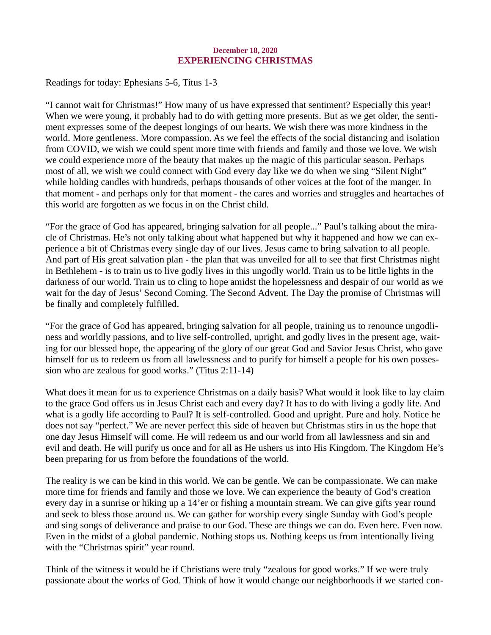# December 18, 2020 EXPERIENCING CHRISTMAS

<span id="page-29-0"></span>[Readings for today: Ephesians 5-6, Titus 1-3](https://www.biblegateway.com/passage/?search=Ephesians+5-6%2C+Titus+1-3&version=ESV)

"I cannot wait for Christmas!" How many of us have expressed that sentiment? Especially this year! When we were young, it probably had to do with getting more presents. But as we get older, the sentiment expresses some of the deepest longings of our hearts. We wish there was more kindness in the world. More gentleness. More compassion. As we feel the effects of the social distancing and isolation from COVID, we wish we could spent more time with friends and family and those we love. We wish we could experience more of the beauty that makes up the magic of this particular season. Perhaps most of all, we wish we could connect with God every day like we do when we sing "Silent Night" while holding candles with hundreds, perhaps thousands of other voices at the foot of the manger. In that moment - and perhaps only for that moment - the cares and worries and struggles and heartaches of this world are forgotten as we focus in on the Christ child.

"For the grace of God has appeared, bringing salvation for all people..." Paul's talking about the miracle of Christmas. He's not only talking about what happened but why it happened and how we can experience a bit of Christmas every single day of our lives. Jesus came to bring salvation to all people. And part of His great salvation plan - the plan that was unveiled for all to see that first Christmas night in Bethlehem - is to train us to live godly lives in this ungodly world. Train us to be little lights in the darkness of our world. Train us to cling to hope amidst the hopelessness and despair of our world as we wait for the day of Jesus' Second Coming. The Second Advent. The Day the promise of Christmas will be finally and completely fulfilled.

"For the grace of God has appeared, bringing salvation for all people, training us to renounce ungodliness and worldly passions, and to live self-controlled, upright, and godly lives in the present age, waiting for our blessed hope, the appearing of the glory of our great God and Savior Jesus Christ, who gave himself for us to redeem us from all lawlessness and to purify for himself a people for his own possession who are zealous for good works." (Titus 2:11-14)

What does it mean for us to experience Christmas on a daily basis? What would it look like to lay claim to the grace God offers us in Jesus Christ each and every day? It has to do with living a godly life. And what is a godly life according to Paul? It is self-controlled. Good and upright. Pure and holy. Notice he does not say "perfect." We are never perfect this side of heaven but Christmas stirs in us the hope that one day Jesus Himself will come. He will redeem us and our world from all lawlessness and sin and evil and death. He will purify us once and for all as He ushers us into His Kingdom. The Kingdom He's been preparing for us from before the foundations of the world.

The reality is we can be kind in this world. We can be gentle. We can be compassionate. We can make more time for friends and family and those we love. We can experience the beauty of God's creation every day in a sunrise or hiking up a 14'er or fishing a mountain stream. We can give gifts year round and seek to bless those around us. We can gather for worship every single Sunday with God's people and sing songs of deliverance and praise to our God. These are things we can do. Even here. Even now. Even in the midst of a global pandemic. Nothing stops us. Nothing keeps us from intentionally living with the "Christmas spirit" year round.

Think of the witness it would be if Christians were truly "zealous for good works." If we were truly passionate about the works of God. Think of how it would change our neighborhoods if we started con-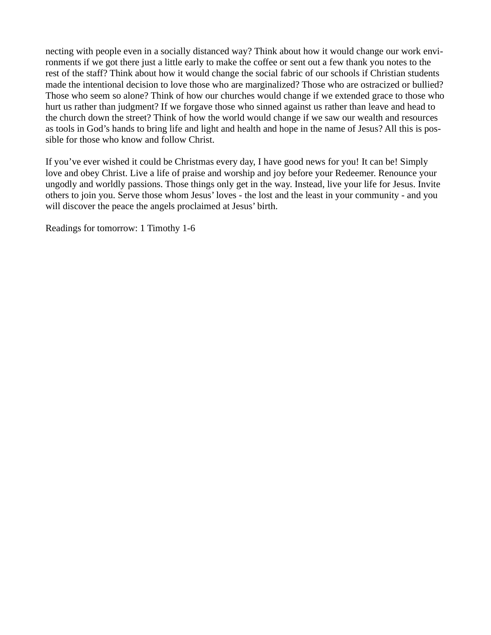necting with people even in a socially distanced way? Think about how it would change our work environments if we got there just a little early to make the coffee or sent out a few thank you notes to the rest of the staff? Think about how it would change the social fabric of our schools if Christian students made the intentional decision to love those who are marginalized? Those who are ostracized or bullied? Those who seem so alone? Think of how our churches would change if we extended grace to those who hurt us rather than judgment? If we forgave those who sinned against us rather than leave and head to the church down the street? Think of how the world would change if we saw our wealth and resources as tools in God's hands to bring life and light and health and hope in the name of Jesus? All this is possible for those who know and follow Christ.

If you've ever wished it could be Christmas every day, I have good news for you! It can be! Simply love and obey Christ. Live a life of praise and worship and joy before your Redeemer. Renounce your ungodly and worldly passions. Those things only get in the way. Instead, live your life for Jesus. Invite others to join you. Serve those whom Jesus' loves - the lost and the least in your community - and you will discover the peace the angels proclaimed at Jesus' birth.

Readings for tomorrow: 1 Timothy 1-6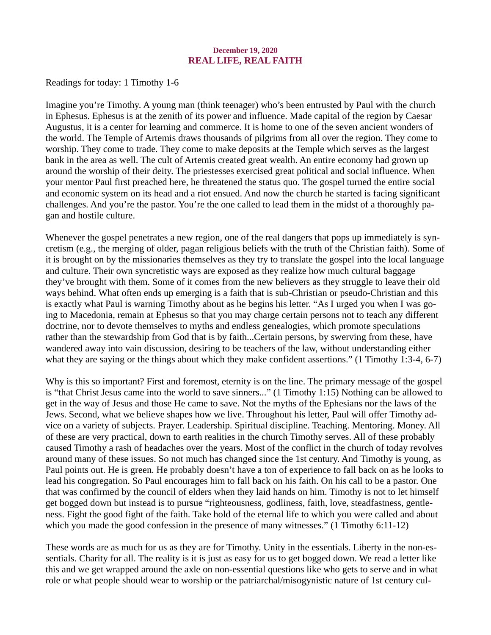# December 19, 2020 REAL LIFE, REAL FAITH

<span id="page-31-0"></span>[Readings for today: 1 Timothy 1-6](https://www.biblegateway.com/passage/?search=1+Timothy+1-6&version=ESV)

Imagine you're Timothy. A young man (think teenager) who's been entrusted by Paul with the church in Ephesus. Ephesus is at the zenith of its power and influence. Made capital of the region by Caesar Augustus, it is a center for learning and commerce. It is home to one of the seven ancient wonders of the world. The Temple of Artemis draws thousands of pilgrims from all over the region. They come to worship. They come to trade. They come to make deposits at the Temple which serves as the largest bank in the area as well. The cult of Artemis created great wealth. An entire economy had grown up around the worship of their deity. The priestesses exercised great political and social influence. When your mentor Paul first preached here, he threatened the status quo. The gospel turned the entire social and economic system on its head and a riot ensued. And now the church he started is facing significant challenges. And you're the pastor. You're the one called to lead them in the midst of a thoroughly pagan and hostile culture.

Whenever the gospel penetrates a new region, one of the real dangers that pops up immediately is syncretism (e.g., the merging of older, pagan religious beliefs with the truth of the Christian faith). Some of it is brought on by the missionaries themselves as they try to translate the gospel into the local language and culture. Their own syncretistic ways are exposed as they realize how much cultural baggage they've brought with them. Some of it comes from the new believers as they struggle to leave their old ways behind. What often ends up emerging is a faith that is sub-Christian or pseudo-Christian and this is exactly what Paul is warning Timothy about as he begins his letter. "As I urged you when I was going to Macedonia, remain at Ephesus so that you may charge certain persons not to teach any different doctrine, nor to devote themselves to myths and endless genealogies, which promote speculations rather than the stewardship from God that is by faith...Certain persons, by swerving from these, have wandered away into vain discussion, desiring to be teachers of the law, without understanding either what they are saying or the things about which they make confident assertions." (1 Timothy 1:3-4, 6-7)

Why is this so important? First and foremost, eternity is on the line. The primary message of the gospel is "that Christ Jesus came into the world to save sinners..." (1 Timothy 1:15) Nothing can be allowed to get in the way of Jesus and those He came to save. Not the myths of the Ephesians nor the laws of the Jews. Second, what we believe shapes how we live. Throughout his letter, Paul will offer Timothy advice on a variety of subjects. Prayer. Leadership. Spiritual discipline. Teaching. Mentoring. Money. All of these are very practical, down to earth realities in the church Timothy serves. All of these probably caused Timothy a rash of headaches over the years. Most of the conflict in the church of today revolves around many of these issues. So not much has changed since the 1st century. And Timothy is young, as Paul points out. He is green. He probably doesn't have a ton of experience to fall back on as he looks to lead his congregation. So Paul encourages him to fall back on his faith. On his call to be a pastor. One that was confirmed by the council of elders when they laid hands on him. Timothy is not to let himself get bogged down but instead is to pursue "righteousness, godliness, faith, love, steadfastness, gentleness. Fight the good fight of the faith. Take hold of the eternal life to which you were called and about which you made the good confession in the presence of many witnesses." (1 Timothy 6:11-12)

These words are as much for us as they are for Timothy. Unity in the essentials. Liberty in the non-essentials. Charity for all. The reality is it is just as easy for us to get bogged down. We read a letter like this and we get wrapped around the axle on non-essential questions like who gets to serve and in what role or what people should wear to worship or the patriarchal/misogynistic nature of 1st century cul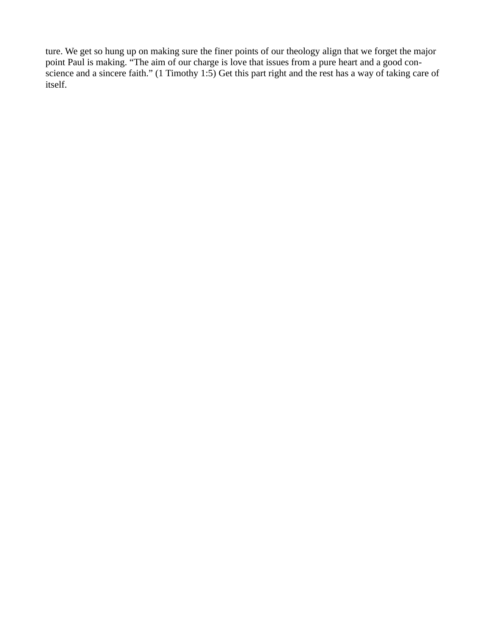ture. We get so hung up on making sure the finer points of our theology align that we forget the major point Paul is making. "The aim of our charge is love that issues from a pure heart and a good conscience and a sincere faith." (1 Timothy 1:5) Get this part right and the rest has a way of taking care of itself.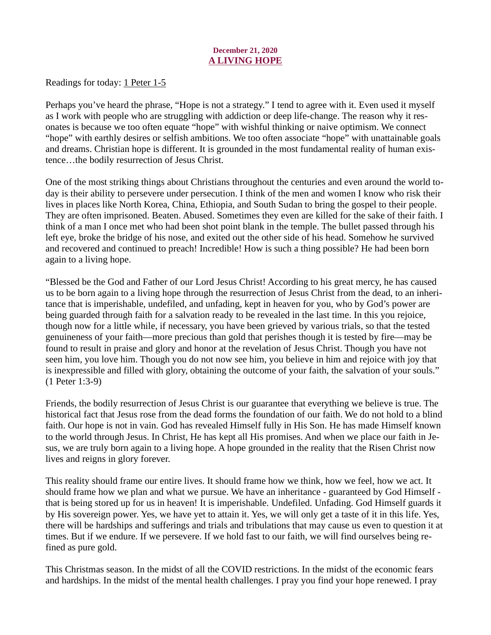# December 21, 2020 A LIVING HOPE

<span id="page-33-0"></span>[Readings for today: 1 Peter 1-5](https://www.biblegateway.com/passage/?search=1+Peter+1-5&version=ESV)

Perhaps you've heard the phrase, "Hope is not a strategy." I tend to agree with it. Even used it myself as I work with people who are struggling with addiction or deep life-change. The reason why it resonates is because we too often equate "hope" with wishful thinking or naive optimism. We connect "hope" with earthly desires or selfish ambitions. We too often associate "hope" with unattainable goals and dreams. Christian hope is different. It is grounded in the most fundamental reality of human existence…the bodily resurrection of Jesus Christ.

One of the most striking things about Christians throughout the centuries and even around the world today is their ability to persevere under persecution. I think of the men and women I know who risk their lives in places like North Korea, China, Ethiopia, and South Sudan to bring the gospel to their people. They are often imprisoned. Beaten. Abused. Sometimes they even are killed for the sake of their faith. I think of a man I once met who had been shot point blank in the temple. The bullet passed through his left eye, broke the bridge of his nose, and exited out the other side of his head. Somehow he survived and recovered and continued to preach! Incredible! How is such a thing possible? He had been born again to a living hope.

"Blessed be the God and Father of our Lord Jesus Christ! According to his great mercy, he has caused us to be born again to a living hope through the resurrection of Jesus Christ from the dead, to an inheritance that is imperishable, undefiled, and unfading, kept in heaven for you, who by God's power are being guarded through faith for a salvation ready to be revealed in the last time. In this you rejoice, though now for a little while, if necessary, you have been grieved by various trials, so that the tested genuineness of your faith—more precious than gold that perishes though it is tested by fire—may be found to result in praise and glory and honor at the revelation of Jesus Christ. Though you have not seen him, you love him. Though you do not now see him, you believe in him and rejoice with joy that is inexpressible and filled with glory, obtaining the outcome of your faith, the salvation of your souls." (1 Peter 1:3-9)

Friends, the bodily resurrection of Jesus Christ is our guarantee that everything we believe is true. The historical fact that Jesus rose from the dead forms the foundation of our faith. We do not hold to a blind faith. Our hope is not in vain. God has revealed Himself fully in His Son. He has made Himself known to the world through Jesus. In Christ, He has kept all His promises. And when we place our faith in Jesus, we are truly born again to a living hope. A hope grounded in the reality that the Risen Christ now lives and reigns in glory forever.

This reality should frame our entire lives. It should frame how we think, how we feel, how we act. It should frame how we plan and what we pursue. We have an inheritance - guaranteed by God Himself that is being stored up for us in heaven! It is imperishable. Undefiled. Unfading. God Himself guards it by His sovereign power. Yes, we have yet to attain it. Yes, we will only get a taste of it in this life. Yes, there will be hardships and sufferings and trials and tribulations that may cause us even to question it at times. But if we endure. If we persevere. If we hold fast to our faith, we will find ourselves being refined as pure gold.

This Christmas season. In the midst of all the COVID restrictions. In the midst of the economic fears and hardships. In the midst of the mental health challenges. I pray you find your hope renewed. I pray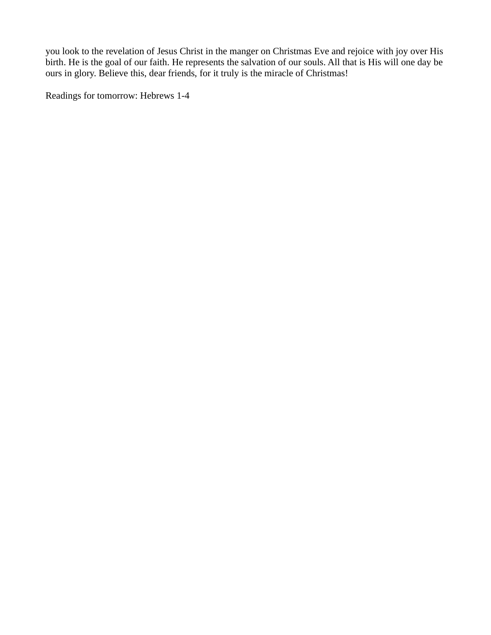you look to the revelation of Jesus Christ in the manger on Christmas Eve and rejoice with joy over His birth. He is the goal of our faith. He represents the salvation of our souls. All that is His will one day be ours in glory. Believe this, dear friends, for it truly is the miracle of Christmas!

Readings for tomorrow: Hebrews 1-4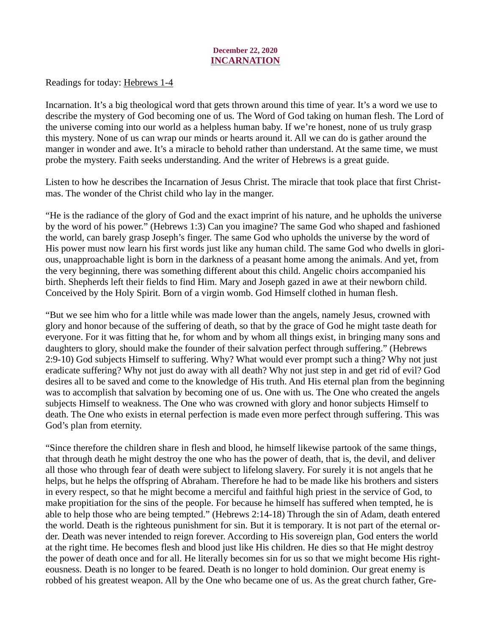# December 22, 2020 INCARNATION

<span id="page-35-0"></span>[Readings for today: Hebrews 1-4](https://www.biblegateway.com/passage/?search=Hebrews+1-4&version=ESV)

Incarnation. It's a big theological word that gets thrown around this time of year. It's a word we use to describe the mystery of God becoming one of us. The Word of God taking on human flesh. The Lord of the universe coming into our world as a helpless human baby. If we're honest, none of us truly grasp this mystery. None of us can wrap our minds or hearts around it. All we can do is gather around the manger in wonder and awe. It's a miracle to behold rather than understand. At the same time, we must probe the mystery. Faith seeks understanding. And the writer of Hebrews is a great guide.

Listen to how he describes the Incarnation of Jesus Christ. The miracle that took place that first Christmas. The wonder of the Christ child who lay in the manger.

"He is the radiance of the glory of God and the exact imprint of his nature, and he upholds the universe by the word of his power." (Hebrews 1:3) Can you imagine? The same God who shaped and fashioned the world, can barely grasp Joseph's finger. The same God who upholds the universe by the word of His power must now learn his first words just like any human child. The same God who dwells in glorious, unapproachable light is born in the darkness of a peasant home among the animals. And yet, from the very beginning, there was something different about this child. Angelic choirs accompanied his birth. Shepherds left their fields to find Him. Mary and Joseph gazed in awe at their newborn child. Conceived by the Holy Spirit. Born of a virgin womb. God Himself clothed in human flesh.

"But we see him who for a little while was made lower than the angels, namely Jesus, crowned with glory and honor because of the suffering of death, so that by the grace of God he might taste death for everyone. For it was fitting that he, for whom and by whom all things exist, in bringing many sons and daughters to glory, should make the founder of their salvation perfect through suffering." (Hebrews 2:9-10) God subjects Himself to suffering. Why? What would ever prompt such a thing? Why not just eradicate suffering? Why not just do away with all death? Why not just step in and get rid of evil? God desires all to be saved and come to the knowledge of His truth. And His eternal plan from the beginning was to accomplish that salvation by becoming one of us. One with us. The One who created the angels subjects Himself to weakness. The One who was crowned with glory and honor subjects Himself to death. The One who exists in eternal perfection is made even more perfect through suffering. This was God's plan from eternity.

"Since therefore the children share in flesh and blood, he himself likewise partook of the same things, that through death he might destroy the one who has the power of death, that is, the devil, and deliver all those who through fear of death were subject to lifelong slavery. For surely it is not angels that he helps, but he helps the offspring of Abraham. Therefore he had to be made like his brothers and sisters in every respect, so that he might become a merciful and faithful high priest in the service of God, to make propitiation for the sins of the people. For because he himself has suffered when tempted, he is able to help those who are being tempted." (Hebrews 2:14-18) Through the sin of Adam, death entered the world. Death is the righteous punishment for sin. But it is temporary. It is not part of the eternal order. Death was never intended to reign forever. According to His sovereign plan, God enters the world at the right time. He becomes flesh and blood just like His children. He dies so that He might destroy the power of death once and for all. He literally becomes sin for us so that we might become His righteousness. Death is no longer to be feared. Death is no longer to hold dominion. Our great enemy is robbed of his greatest weapon. All by the One who became one of us. As the great church father, Gre-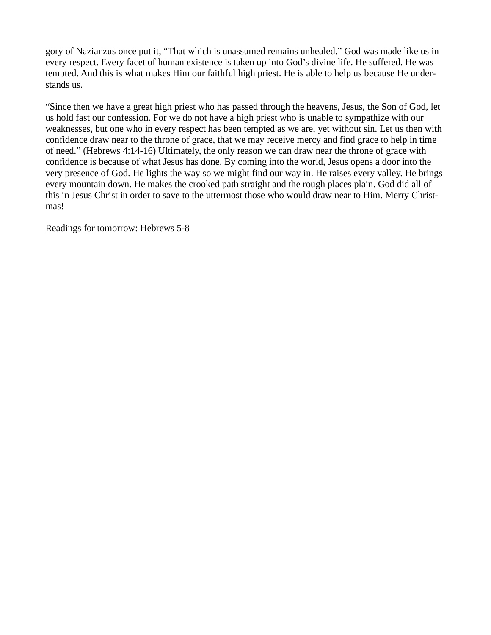gory of Nazianzus once put it, "That which is unassumed remains unhealed." God was made like us in every respect. Every facet of human existence is taken up into God's divine life. He suffered. He was tempted. And this is what makes Him our faithful high priest. He is able to help us because He understands us.

"Since then we have a great high priest who has passed through the heavens, Jesus, the Son of God, let us hold fast our confession. For we do not have a high priest who is unable to sympathize with our weaknesses, but one who in every respect has been tempted as we are, yet without sin. Let us then with confidence draw near to the throne of grace, that we may receive mercy and find grace to help in time of need." (Hebrews 4:14-16) Ultimately, the only reason we can draw near the throne of grace with confidence is because of what Jesus has done. By coming into the world, Jesus opens a door into the very presence of God. He lights the way so we might find our way in. He raises every valley. He brings every mountain down. He makes the crooked path straight and the rough places plain. God did all of this in Jesus Christ in order to save to the uttermost those who would draw near to Him. Merry Christmas!

Readings for tomorrow: Hebrews 5-8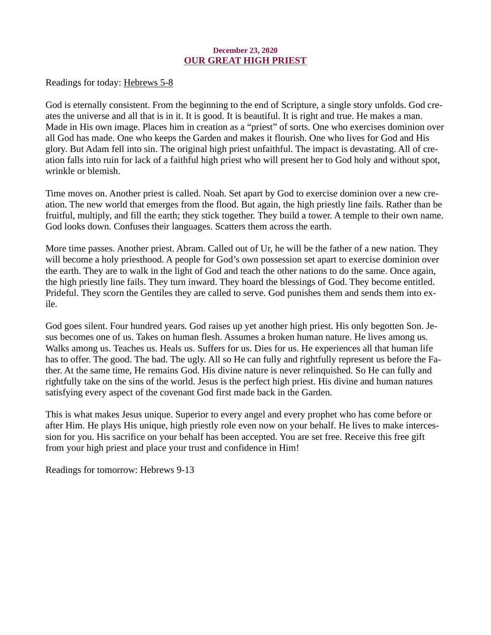# December 23, 2020 OUR GREAT HIGH PRIEST

<span id="page-37-0"></span>[Readings for today: Hebrews 5-8](https://www.biblegateway.com/passage/?search=Hebrews+5-8&version=ESV)

God is eternally consistent. From the beginning to the end of Scripture, a single story unfolds. God creates the universe and all that is in it. It is good. It is beautiful. It is right and true. He makes a man. Made in His own image. Places him in creation as a "priest" of sorts. One who exercises dominion over all God has made. One who keeps the Garden and makes it flourish. One who lives for God and His glory. But Adam fell into sin. The original high priest unfaithful. The impact is devastating. All of creation falls into ruin for lack of a faithful high priest who will present her to God holy and without spot, wrinkle or blemish.

Time moves on. Another priest is called. Noah. Set apart by God to exercise dominion over a new creation. The new world that emerges from the flood. But again, the high priestly line fails. Rather than be fruitful, multiply, and fill the earth; they stick together. They build a tower. A temple to their own name. God looks down. Confuses their languages. Scatters them across the earth.

More time passes. Another priest. Abram. Called out of Ur, he will be the father of a new nation. They will become a holy priesthood. A people for God's own possession set apart to exercise dominion over the earth. They are to walk in the light of God and teach the other nations to do the same. Once again, the high priestly line fails. They turn inward. They hoard the blessings of God. They become entitled. Prideful. They scorn the Gentiles they are called to serve. God punishes them and sends them into exile.

God goes silent. Four hundred years. God raises up yet another high priest. His only begotten Son. Jesus becomes one of us. Takes on human flesh. Assumes a broken human nature. He lives among us. Walks among us. Teaches us. Heals us. Suffers for us. Dies for us. He experiences all that human life has to offer. The good. The bad. The ugly. All so He can fully and rightfully represent us before the Father. At the same time, He remains God. His divine nature is never relinquished. So He can fully and rightfully take on the sins of the world. Jesus is the perfect high priest. His divine and human natures satisfying every aspect of the covenant God first made back in the Garden.

This is what makes Jesus unique. Superior to every angel and every prophet who has come before or after Him. He plays His unique, high priestly role even now on your behalf. He lives to make intercession for you. His sacrifice on your behalf has been accepted. You are set free. Receive this free gift from your high priest and place your trust and confidence in Him!

Readings for tomorrow: Hebrews 9-13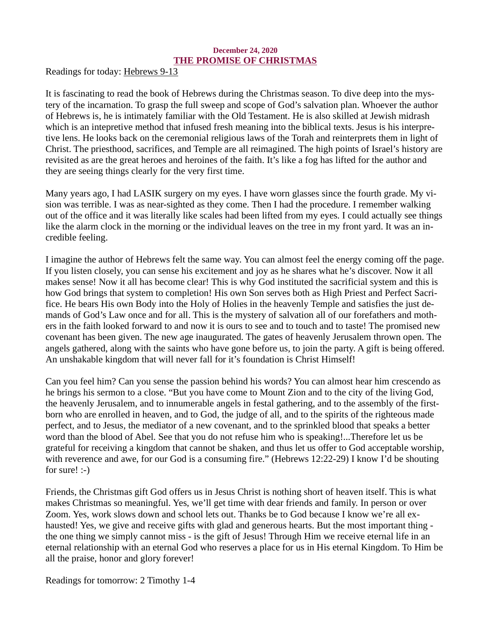# December 24, 2020 THE PROMISE OF CHRISTMAS

<span id="page-38-0"></span>[Readings for today: Hebrews 9-13](https://www.biblegateway.com/passage/?search=Hebrews+9-13&version=ESV)

It is fascinating to read the book of Hebrews during the Christmas season. To dive deep into the mystery of the incarnation. To grasp the full sweep and scope of God's salvation plan. Whoever the author of Hebrews is, he is intimately familiar with the Old Testament. He is also skilled at Jewish midrash which is an intepretive method that infused fresh meaning into the biblical texts. Jesus is his interpretive lens. He looks back on the ceremonial religious laws of the Torah and reinterprets them in light of Christ. The priesthood, sacrifices, and Temple are all reimagined. The high points of Israel's history are revisited as are the great heroes and heroines of the faith. It's like a fog has lifted for the author and they are seeing things clearly for the very first time.

Many years ago, I had LASIK surgery on my eyes. I have worn glasses since the fourth grade. My vision was terrible. I was as near-sighted as they come. Then I had the procedure. I remember walking out of the office and it was literally like scales had been lifted from my eyes. I could actually see things like the alarm clock in the morning or the individual leaves on the tree in my front yard. It was an incredible feeling.

I imagine the author of Hebrews felt the same way. You can almost feel the energy coming off the page. If you listen closely, you can sense his excitement and joy as he shares what he's discover. Now it all makes sense! Now it all has become clear! This is why God instituted the sacrificial system and this is how God brings that system to completion! His own Son serves both as High Priest and Perfect Sacrifice. He bears His own Body into the Holy of Holies in the heavenly Temple and satisfies the just demands of God's Law once and for all. This is the mystery of salvation all of our forefathers and mothers in the faith looked forward to and now it is ours to see and to touch and to taste! The promised new covenant has been given. The new age inaugurated. The gates of heavenly Jerusalem thrown open. The angels gathered, along with the saints who have gone before us, to join the party. A gift is being offered. An unshakable kingdom that will never fall for it's foundation is Christ Himself!

Can you feel him? Can you sense the passion behind his words? You can almost hear him crescendo as he brings his sermon to a close. "But you have come to Mount Zion and to the city of the living God, the heavenly Jerusalem, and to innumerable angels in festal gathering, and to the assembly of the firstborn who are enrolled in heaven, and to God, the judge of all, and to the spirits of the righteous made perfect, and to Jesus, the mediator of a new covenant, and to the sprinkled blood that speaks a better word than the blood of Abel. See that you do not refuse him who is speaking!...Therefore let us be grateful for receiving a kingdom that cannot be shaken, and thus let us offer to God acceptable worship, with reverence and awe, for our God is a consuming fire." (Hebrews 12:22-29) I know I'd be shouting for sure! :-)

Friends, the Christmas gift God offers us in Jesus Christ is nothing short of heaven itself. This is what makes Christmas so meaningful. Yes, we'll get time with dear friends and family. In person or over Zoom. Yes, work slows down and school lets out. Thanks be to God because I know we're all exhausted! Yes, we give and receive gifts with glad and generous hearts. But the most important thing the one thing we simply cannot miss - is the gift of Jesus! Through Him we receive eternal life in an eternal relationship with an eternal God who reserves a place for us in His eternal Kingdom. To Him be all the praise, honor and glory forever!

Readings for tomorrow: 2 Timothy 1-4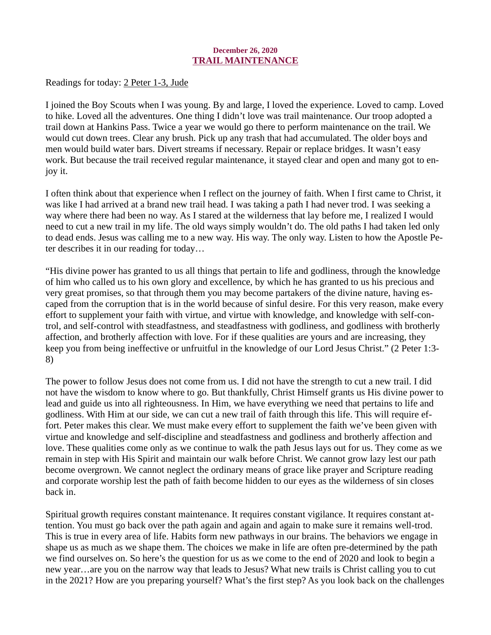# December 26, 2020 TRAIL MAINTENANCE

<span id="page-39-0"></span>[Readings for today: 2 Peter 1-3, Jude](https://www.biblegateway.com/passage/?search=2+Peter+1-3%2C+Jude&version=ESV)

I joined the Boy Scouts when I was young. By and large, I loved the experience. Loved to camp. Loved to hike. Loved all the adventures. One thing I didn't love was trail maintenance. Our troop adopted a trail down at Hankins Pass. Twice a year we would go there to perform maintenance on the trail. We would cut down trees. Clear any brush. Pick up any trash that had accumulated. The older boys and men would build water bars. Divert streams if necessary. Repair or replace bridges. It wasn't easy work. But because the trail received regular maintenance, it stayed clear and open and many got to enjoy it.

I often think about that experience when I reflect on the journey of faith. When I first came to Christ, it was like I had arrived at a brand new trail head. I was taking a path I had never trod. I was seeking a way where there had been no way. As I stared at the wilderness that lay before me, I realized I would need to cut a new trail in my life. The old ways simply wouldn't do. The old paths I had taken led only to dead ends. Jesus was calling me to a new way. His way. The only way. Listen to how the Apostle Peter describes it in our reading for today…

"His divine power has granted to us all things that pertain to life and godliness, through the knowledge of him who called us to his own glory and excellence, by which he has granted to us his precious and very great promises, so that through them you may become partakers of the divine nature, having escaped from the corruption that is in the world because of sinful desire. For this very reason, make every effort to supplement your faith with virtue, and virtue with knowledge, and knowledge with self-control, and self-control with steadfastness, and steadfastness with godliness, and godliness with brotherly affection, and brotherly affection with love. For if these qualities are yours and are increasing, they keep you from being ineffective or unfruitful in the knowledge of our Lord Jesus Christ." (2 Peter 1:3- 8)

The power to follow Jesus does not come from us. I did not have the strength to cut a new trail. I did not have the wisdom to know where to go. But thankfully, Christ Himself grants us His divine power to lead and guide us into all righteousness. In Him, we have everything we need that pertains to life and godliness. With Him at our side, we can cut a new trail of faith through this life. This will require effort. Peter makes this clear. We must make every effort to supplement the faith we've been given with virtue and knowledge and self-discipline and steadfastness and godliness and brotherly affection and love. These qualities come only as we continue to walk the path Jesus lays out for us. They come as we remain in step with His Spirit and maintain our walk before Christ. We cannot grow lazy lest our path become overgrown. We cannot neglect the ordinary means of grace like prayer and Scripture reading and corporate worship lest the path of faith become hidden to our eyes as the wilderness of sin closes back in.

Spiritual growth requires constant maintenance. It requires constant vigilance. It requires constant attention. You must go back over the path again and again and again to make sure it remains well-trod. This is true in every area of life. Habits form new pathways in our brains. The behaviors we engage in shape us as much as we shape them. The choices we make in life are often pre-determined by the path we find ourselves on. So here's the question for us as we come to the end of 2020 and look to begin a new year…are you on the narrow way that leads to Jesus? What new trails is Christ calling you to cut in the 2021? How are you preparing yourself? What's the first step? As you look back on the challenges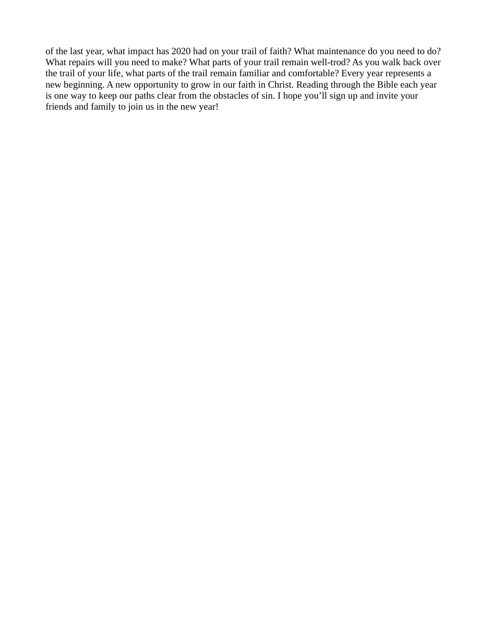of the last year, what impact has 2020 had on your trail of faith? What maintenance do you need to do? What repairs will you need to make? What parts of your trail remain well-trod? As you walk back over the trail of your life, what parts of the trail remain familiar and comfortable? Every year represents a new beginning. A new opportunity to grow in our faith in Christ. Reading through the Bible each year is one way to keep our paths clear from the obstacles of sin. I hope you'll sign up and invite your friends and family to join us in the new year!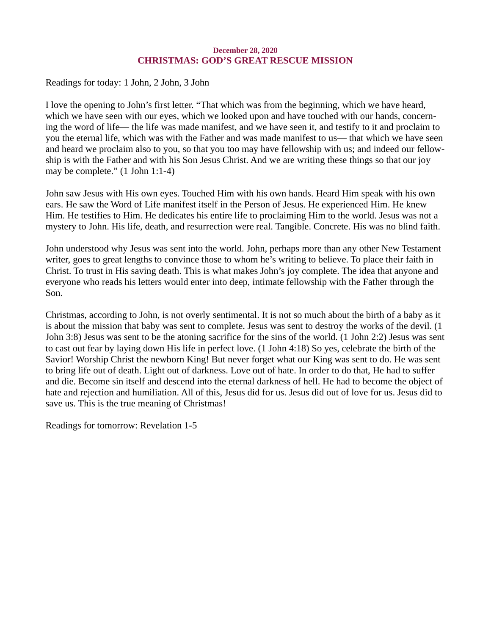# December 28, 2020 CHRISTMAS: GOD'S GREAT RESCUE MISSION

<span id="page-41-0"></span>[Readings for today: 1 John, 2 John, 3 John](https://www.biblegateway.com/quicksearch/?quicksearch=1+John%2C+2+John%2C+3+John&version=ESV)

I love the opening to John's first letter. "That which was from the beginning, which we have heard, which we have seen with our eyes, which we looked upon and have touched with our hands, concerning the word of life— the life was made manifest, and we have seen it, and testify to it and proclaim to you the eternal life, which was with the Father and was made manifest to us— that which we have seen and heard we proclaim also to you, so that you too may have fellowship with us; and indeed our fellowship is with the Father and with his Son Jesus Christ. And we are writing these things so that our joy may be complete." (1 John 1:1-4)

John saw Jesus with His own eyes. Touched Him with his own hands. Heard Him speak with his own ears. He saw the Word of Life manifest itself in the Person of Jesus. He experienced Him. He knew Him. He testifies to Him. He dedicates his entire life to proclaiming Him to the world. Jesus was not a mystery to John. His life, death, and resurrection were real. Tangible. Concrete. His was no blind faith.

John understood why Jesus was sent into the world. John, perhaps more than any other New Testament writer, goes to great lengths to convince those to whom he's writing to believe. To place their faith in Christ. To trust in His saving death. This is what makes John's joy complete. The idea that anyone and everyone who reads his letters would enter into deep, intimate fellowship with the Father through the Son.

Christmas, according to John, is not overly sentimental. It is not so much about the birth of a baby as it is about the mission that baby was sent to complete. Jesus was sent to destroy the works of the devil. (1 John 3:8) Jesus was sent to be the atoning sacrifice for the sins of the world. (1 John 2:2) Jesus was sent to cast out fear by laying down His life in perfect love. (1 John 4:18) So yes, celebrate the birth of the Savior! Worship Christ the newborn King! But never forget what our King was sent to do. He was sent to bring life out of death. Light out of darkness. Love out of hate. In order to do that, He had to suffer and die. Become sin itself and descend into the eternal darkness of hell. He had to become the object of hate and rejection and humiliation. All of this, Jesus did for us. Jesus did out of love for us. Jesus did to save us. This is the true meaning of Christmas!

Readings for tomorrow: Revelation 1-5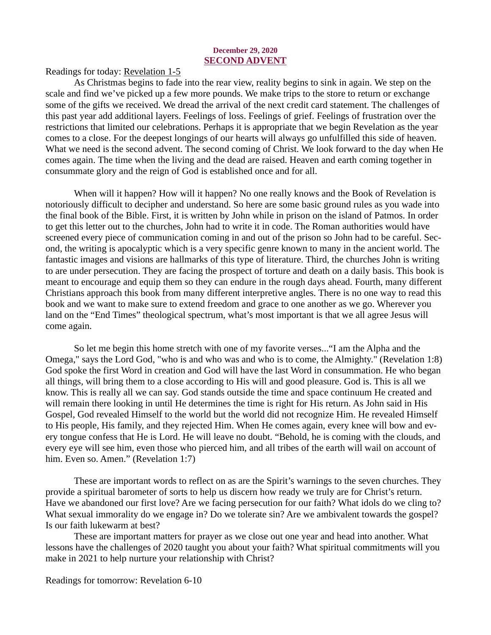#### December 29, 2020 SECOND ADVENT

<span id="page-42-0"></span>[Readings for today: Revelation 1-5](https://www.biblegateway.com/passage/?search=Revelation+1-5&version=ESV)

As Christmas begins to fade into the rear view, reality begins to sink in again. We step on the scale and find we've picked up a few more pounds. We make trips to the store to return or exchange some of the gifts we received. We dread the arrival of the next credit card statement. The challenges of this past year add additional layers. Feelings of loss. Feelings of grief. Feelings of frustration over the restrictions that limited our celebrations. Perhaps it is appropriate that we begin Revelation as the year comes to a close. For the deepest longings of our hearts will always go unfulfilled this side of heaven. What we need is the second advent. The second coming of Christ. We look forward to the day when He comes again. The time when the living and the dead are raised. Heaven and earth coming together in consummate glory and the reign of God is established once and for all.

When will it happen? How will it happen? No one really knows and the Book of Revelation is notoriously difficult to decipher and understand. So here are some basic ground rules as you wade into the final book of the Bible. First, it is written by John while in prison on the island of Patmos. In order to get this letter out to the churches, John had to write it in code. The Roman authorities would have screened every piece of communication coming in and out of the prison so John had to be careful. Second, the writing is apocalyptic which is a very specific genre known to many in the ancient world. The fantastic images and visions are hallmarks of this type of literature. Third, the churches John is writing to are under persecution. They are facing the prospect of torture and death on a daily basis. This book is meant to encourage and equip them so they can endure in the rough days ahead. Fourth, many different Christians approach this book from many different interpretive angles. There is no one way to read this book and we want to make sure to extend freedom and grace to one another as we go. Wherever you land on the "End Times" theological spectrum, what's most important is that we all agree Jesus will come again.

So let me begin this home stretch with one of my favorite verses..."I am the Alpha and the Omega," says the Lord God, "who is and who was and who is to come, the Almighty." (Revelation 1:8) God spoke the first Word in creation and God will have the last Word in consummation. He who began all things, will bring them to a close according to His will and good pleasure. God is. This is all we know. This is really all we can say. God stands outside the time and space continuum He created and will remain there looking in until He determines the time is right for His return. As John said in His Gospel, God revealed Himself to the world but the world did not recognize Him. He revealed Himself to His people, His family, and they rejected Him. When He comes again, every knee will bow and every tongue confess that He is Lord. He will leave no doubt. "Behold, he is coming with the clouds, and every eye will see him, even those who pierced him, and all tribes of the earth will wail on account of him. Even so. Amen." (Revelation 1:7)

These are important words to reflect on as are the Spirit's warnings to the seven churches. They provide a spiritual barometer of sorts to help us discern how ready we truly are for Christ's return. Have we abandoned our first love? Are we facing persecution for our faith? What idols do we cling to? What sexual immorality do we engage in? Do we tolerate sin? Are we ambivalent towards the gospel? Is our faith lukewarm at best?

These are important matters for prayer as we close out one year and head into another. What lessons have the challenges of 2020 taught you about your faith? What spiritual commitments will you make in 2021 to help nurture your relationship with Christ?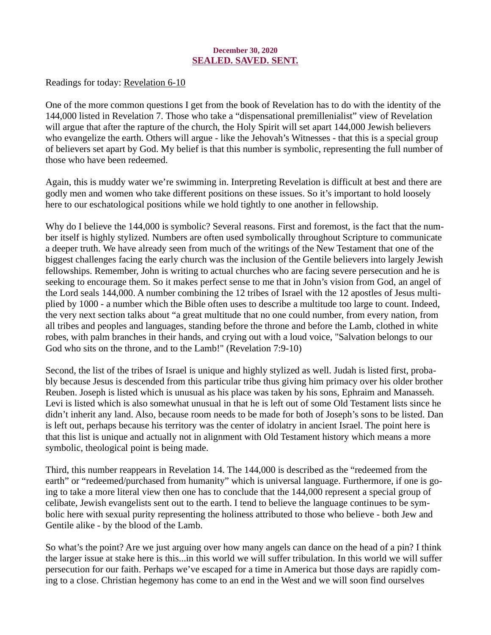# December 30, 2020 SEALED. SAVED. SENT.

<span id="page-43-0"></span>[Readings for today: Revelation 6-10](https://www.biblegateway.com/passage/?search=Revelation+6-10&version=ESV)

One of the more common questions I get from the book of Revelation has to do with the identity of the 144,000 listed in Revelation 7. Those who take a "dispensational premillenialist" view of Revelation will argue that after the rapture of the church, the Holy Spirit will set apart 144,000 Jewish believers who evangelize the earth. Others will argue - like the Jehovah's Witnesses - that this is a special group of believers set apart by God. My belief is that this number is symbolic, representing the full number of those who have been redeemed.

Again, this is muddy water we're swimming in. Interpreting Revelation is difficult at best and there are godly men and women who take different positions on these issues. So it's important to hold loosely here to our eschatological positions while we hold tightly to one another in fellowship.

Why do I believe the 144,000 is symbolic? Several reasons. First and foremost, is the fact that the number itself is highly stylized. Numbers are often used symbolically throughout Scripture to communicate a deeper truth. We have already seen from much of the writings of the New Testament that one of the biggest challenges facing the early church was the inclusion of the Gentile believers into largely Jewish fellowships. Remember, John is writing to actual churches who are facing severe persecution and he is seeking to encourage them. So it makes perfect sense to me that in John's vision from God, an angel of the Lord seals 144,000. A number combining the 12 tribes of Israel with the 12 apostles of Jesus multiplied by 1000 - a number which the Bible often uses to describe a multitude too large to count. Indeed, the very next section talks about "a great multitude that no one could number, from every nation, from all tribes and peoples and languages, standing before the throne and before the Lamb, clothed in white robes, with palm branches in their hands, and crying out with a loud voice, "Salvation belongs to our God who sits on the throne, and to the Lamb!" (Revelation 7:9-10)

Second, the list of the tribes of Israel is unique and highly stylized as well. Judah is listed first, probably because Jesus is descended from this particular tribe thus giving him primacy over his older brother Reuben. Joseph is listed which is unusual as his place was taken by his sons, Ephraim and Manasseh. Levi is listed which is also somewhat unusual in that he is left out of some Old Testament lists since he didn't inherit any land. Also, because room needs to be made for both of Joseph's sons to be listed. Dan is left out, perhaps because his territory was the center of idolatry in ancient Israel. The point here is that this list is unique and actually not in alignment with Old Testament history which means a more symbolic, theological point is being made.

Third, this number reappears in Revelation 14. The 144,000 is described as the "redeemed from the earth" or "redeemed/purchased from humanity" which is universal language. Furthermore, if one is going to take a more literal view then one has to conclude that the 144,000 represent a special group of celibate, Jewish evangelists sent out to the earth. I tend to believe the language continues to be symbolic here with sexual purity representing the holiness attributed to those who believe - both Jew and Gentile alike - by the blood of the Lamb.

So what's the point? Are we just arguing over how many angels can dance on the head of a pin? I think the larger issue at stake here is this...in this world we will suffer tribulation. In this world we will suffer persecution for our faith. Perhaps we've escaped for a time in America but those days are rapidly coming to a close. Christian hegemony has come to an end in the West and we will soon find ourselves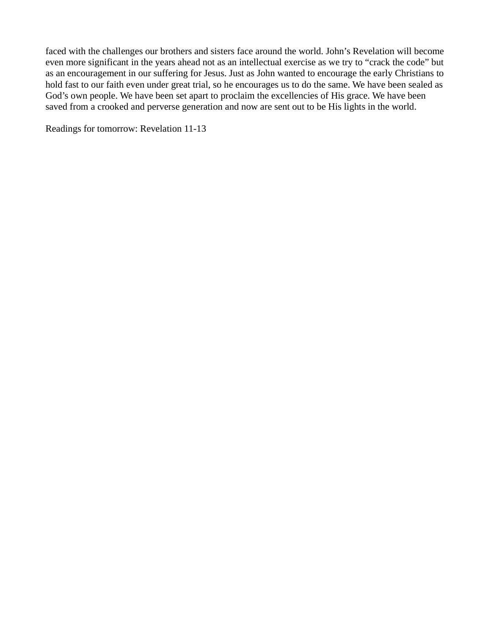faced with the challenges our brothers and sisters face around the world. John's Revelation will become even more significant in the years ahead not as an intellectual exercise as we try to "crack the code" but as an encouragement in our suffering for Jesus. Just as John wanted to encourage the early Christians to hold fast to our faith even under great trial, so he encourages us to do the same. We have been sealed as God's own people. We have been set apart to proclaim the excellencies of His grace. We have been saved from a crooked and perverse generation and now are sent out to be His lights in the world.

Readings for tomorrow: Revelation 11-13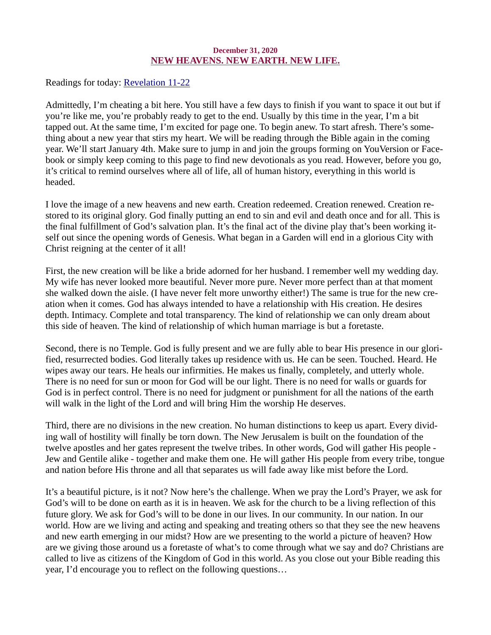## December 31, 2020 NEW HEAVENS. NEW EARTH. NEW LIFE.

<span id="page-45-0"></span>[Readings for today: Revelation 11-22](https://www.biblegateway.com/passage/?search=Revelation+11-22&version=ESV)

Admittedly, I'm cheating a bit here. You still have a few days to finish if you want to space it out but if you're like me, you're probably ready to get to the end. Usually by this time in the year, I'm a bit tapped out. At the same time, I'm excited for page one. To begin anew. To start afresh. There's something about a new year that stirs my heart. We will be reading through the Bible again in the coming year. We'll start January 4th. Make sure to jump in and join the groups forming on YouVersion or Facebook or simply keep coming to this page to find new devotionals as you read. However, before you go, it's critical to remind ourselves where all of life, all of human history, everything in this world is headed.

I love the image of a new heavens and new earth. Creation redeemed. Creation renewed. Creation restored to its original glory. God finally putting an end to sin and evil and death once and for all. This is the final fulfillment of God's salvation plan. It's the final act of the divine play that's been working itself out since the opening words of Genesis. What began in a Garden will end in a glorious City with Christ reigning at the center of it all!

First, the new creation will be like a bride adorned for her husband. I remember well my wedding day. My wife has never looked more beautiful. Never more pure. Never more perfect than at that moment she walked down the aisle. (I have never felt more unworthy either!) The same is true for the new creation when it comes. God has always intended to have a relationship with His creation. He desires depth. Intimacy. Complete and total transparency. The kind of relationship we can only dream about this side of heaven. The kind of relationship of which human marriage is but a foretaste.

Second, there is no Temple. God is fully present and we are fully able to bear His presence in our glorified, resurrected bodies. God literally takes up residence with us. He can be seen. Touched. Heard. He wipes away our tears. He heals our infirmities. He makes us finally, completely, and utterly whole. There is no need for sun or moon for God will be our light. There is no need for walls or guards for God is in perfect control. There is no need for judgment or punishment for all the nations of the earth will walk in the light of the Lord and will bring Him the worship He deserves.

Third, there are no divisions in the new creation. No human distinctions to keep us apart. Every dividing wall of hostility will finally be torn down. The New Jerusalem is built on the foundation of the twelve apostles and her gates represent the twelve tribes. In other words, God will gather His people - Jew and Gentile alike - together and make them one. He will gather His people from every tribe, tongue and nation before His throne and all that separates us will fade away like mist before the Lord.

It's a beautiful picture, is it not? Now here's the challenge. When we pray the Lord's Prayer, we ask for God's will to be done on earth as it is in heaven. We ask for the church to be a living reflection of this future glory. We ask for God's will to be done in our lives. In our community. In our nation. In our world. How are we living and acting and speaking and treating others so that they see the new heavens and new earth emerging in our midst? How are we presenting to the world a picture of heaven? How are we giving those around us a foretaste of what's to come through what we say and do? Christians are called to live as citizens of the Kingdom of God in this world. As you close out your Bible reading this year, I'd encourage you to reflect on the following questions…